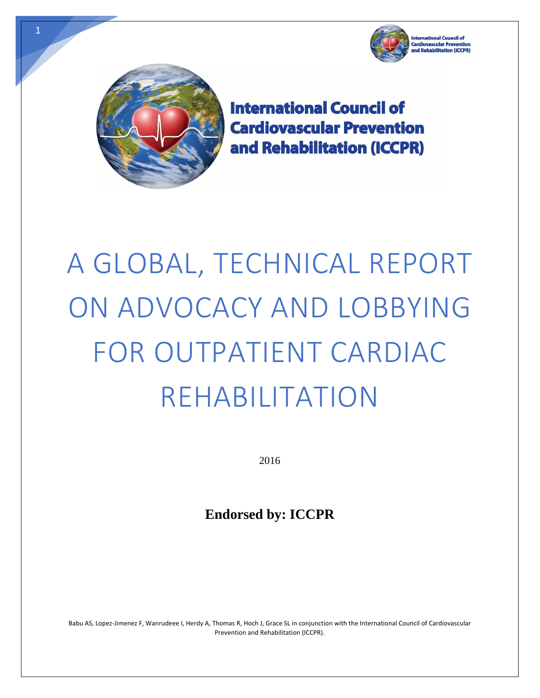



**International Council of Cardiovascular Prevention** and Rehabilitation (ICCPR)

# A GLOBAL, TECHNICAL REPORT ON ADVOCACY AND LOBBYING FOR OUTPATIENT CARDIAC REHABILITATION

2016

**Endorsed by: ICCPR** 

Babu AS, Lopez‐Jimenez F, Wanrudeee I, Herdy A, Thomas R, Hoch J, Grace SL in conjunction with the International Council of Cardiovascular Prevention and Rehabilitation (ICCPR).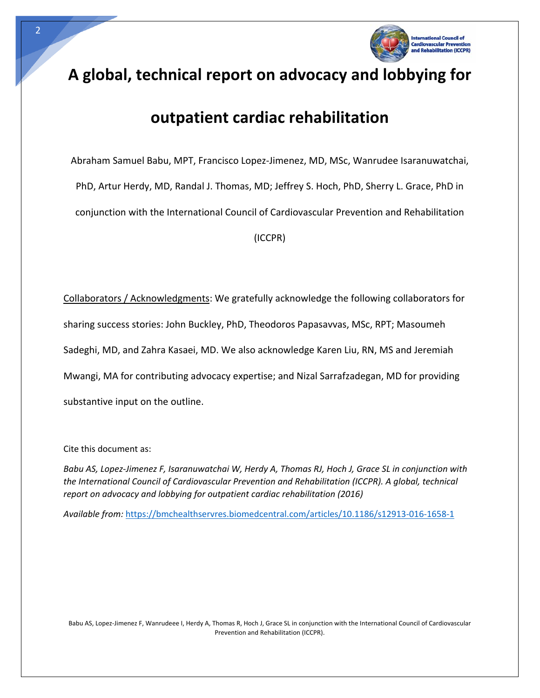

# **A global, technical report on advocacy and lobbying for**

# **outpatient cardiac rehabilitation**

Abraham Samuel Babu, MPT, Francisco Lopez‐Jimenez, MD, MSc, Wanrudee Isaranuwatchai, PhD, Artur Herdy, MD, Randal J. Thomas, MD; Jeffrey S. Hoch, PhD, Sherry L. Grace, PhD in conjunction with the International Council of Cardiovascular Prevention and Rehabilitation

(ICCPR)

Collaborators / Acknowledgments: We gratefully acknowledge the following collaborators for sharing success stories: John Buckley, PhD, Theodoros Papasavvas, MSc, RPT; Masoumeh Sadeghi, MD, and Zahra Kasaei, MD. We also acknowledge Karen Liu, RN, MS and Jeremiah Mwangi, MA for contributing advocacy expertise; and Nizal Sarrafzadegan, MD for providing substantive input on the outline.

Cite this document as:

Babu AS, Lopez-Jimenez F, Isaranuwatchai W, Herdy A, Thomas RJ, Hoch J, Grace SL in conjunction with *the International Council of Cardiovascular Prevention and Rehabilitation (ICCPR). A global, technical report on advocacy and lobbying for outpatient cardiac rehabilitation (2016)*

*Available from:* https://bmchealthservres.biomedcentral.com/articles/10.1186/s12913‐016‐1658‐1

Babu AS, Lopez‐Jimenez F, Wanrudeee I, Herdy A, Thomas R, Hoch J, Grace SL in conjunction with the International Council of Cardiovascular Prevention and Rehabilitation (ICCPR).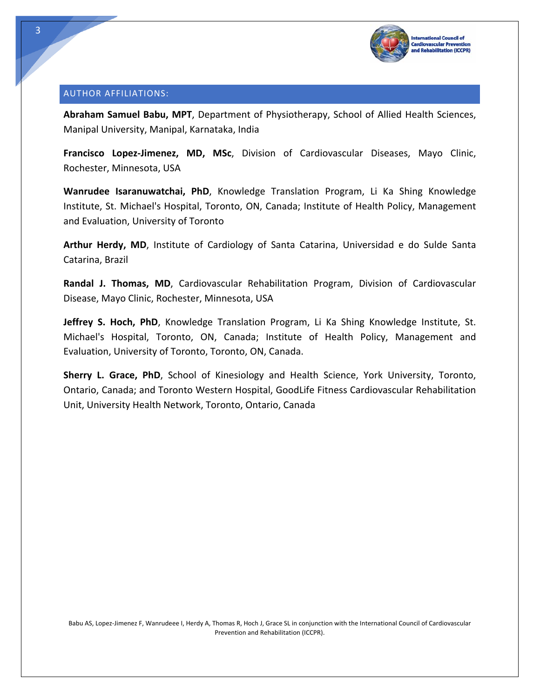

#### AUTHOR AFFILIATIONS:

**Abraham Samuel Babu, MPT**, Department of Physiotherapy, School of Allied Health Sciences, Manipal University, Manipal, Karnataka, India

**Francisco Lopez‐Jimenez, MD, MSc**, Division of Cardiovascular Diseases, Mayo Clinic, Rochester, Minnesota, USA

**Wanrudee Isaranuwatchai, PhD**, Knowledge Translation Program, Li Ka Shing Knowledge Institute, St. Michael's Hospital, Toronto, ON, Canada; Institute of Health Policy, Management and Evaluation, University of Toronto

**Arthur Herdy, MD**, Institute of Cardiology of Santa Catarina, Universidad e do Sulde Santa Catarina, Brazil

**Randal J. Thomas, MD**, Cardiovascular Rehabilitation Program, Division of Cardiovascular Disease, Mayo Clinic, Rochester, Minnesota, USA

**Jeffrey S. Hoch, PhD**, Knowledge Translation Program, Li Ka Shing Knowledge Institute, St. Michael's Hospital, Toronto, ON, Canada; Institute of Health Policy, Management and Evaluation, University of Toronto, Toronto, ON, Canada.

**Sherry L. Grace, PhD**, School of Kinesiology and Health Science, York University, Toronto, Ontario, Canada; and Toronto Western Hospital, GoodLife Fitness Cardiovascular Rehabilitation Unit, University Health Network, Toronto, Ontario, Canada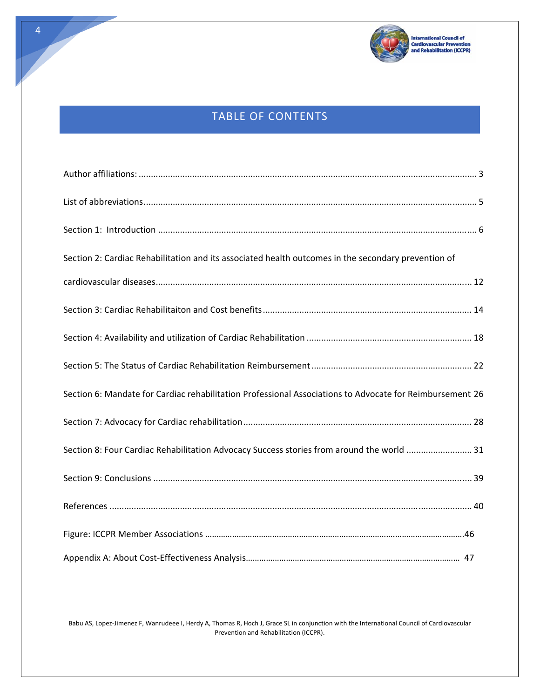

# TABLE OF CONTENTS

| Section 2: Cardiac Rehabilitation and its associated health outcomes in the secondary prevention of      |
|----------------------------------------------------------------------------------------------------------|
|                                                                                                          |
|                                                                                                          |
|                                                                                                          |
|                                                                                                          |
| Section 6: Mandate for Cardiac rehabilitation Professional Associations to Advocate for Reimbursement 26 |
|                                                                                                          |
| Section 8: Four Cardiac Rehabilitation Advocacy Success stories from around the world  31                |
|                                                                                                          |
|                                                                                                          |
|                                                                                                          |
|                                                                                                          |

Babu AS, Lopez‐Jimenez F, Wanrudeee I, Herdy A, Thomas R, Hoch J, Grace SL in conjunction with the International Council of Cardiovascular Prevention and Rehabilitation (ICCPR).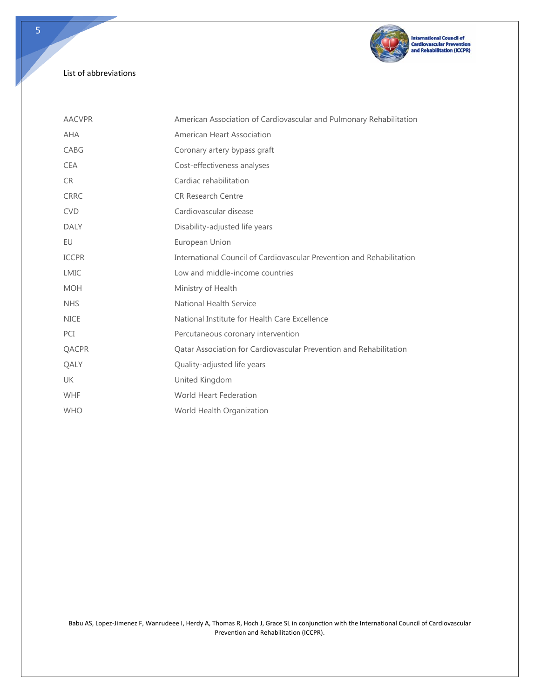

## List of abbreviations

| <b>AACVPR</b> | American Association of Cardiovascular and Pulmonary Rehabilitation   |  |  |
|---------------|-----------------------------------------------------------------------|--|--|
| <b>AHA</b>    | American Heart Association                                            |  |  |
| CABG          | Coronary artery bypass graft                                          |  |  |
| <b>CEA</b>    | Cost-effectiveness analyses                                           |  |  |
| CR.           | Cardiac rehabilitation                                                |  |  |
| <b>CRRC</b>   | <b>CR Research Centre</b>                                             |  |  |
| <b>CVD</b>    | Cardiovascular disease                                                |  |  |
| <b>DALY</b>   | Disability-adjusted life years                                        |  |  |
| EU            | European Union                                                        |  |  |
| <b>ICCPR</b>  | International Council of Cardiovascular Prevention and Rehabilitation |  |  |
| <b>LMIC</b>   | Low and middle-income countries                                       |  |  |
| <b>MOH</b>    | Ministry of Health                                                    |  |  |
| <b>NHS</b>    | <b>National Health Service</b>                                        |  |  |
| <b>NICE</b>   | National Institute for Health Care Excellence                         |  |  |
| PCI           | Percutaneous coronary intervention                                    |  |  |
| QACPR         | Qatar Association for Cardiovascular Prevention and Rehabilitation    |  |  |
| QALY          | Quality-adjusted life years                                           |  |  |
| <b>UK</b>     | United Kingdom                                                        |  |  |
| <b>WHF</b>    | <b>World Heart Federation</b>                                         |  |  |
| <b>WHO</b>    | World Health Organization                                             |  |  |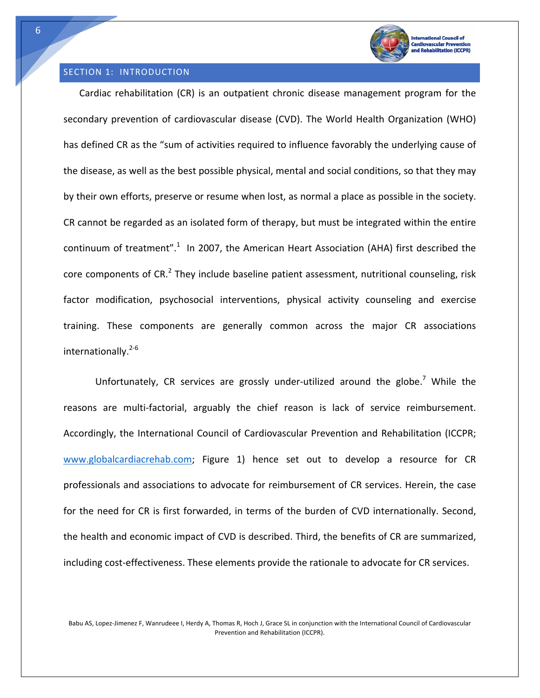

abilitation (ICCPR)

#### SECTION 1: INTRODUCTION

Cardiac rehabilitation (CR) is an outpatient chronic disease management program for the secondary prevention of cardiovascular disease (CVD). The World Health Organization (WHO) has defined CR as the "sum of activities required to influence favorably the underlying cause of the disease, as well as the best possible physical, mental and social conditions, so that they may by their own efforts, preserve or resume when lost, as normal a place as possible in the society. CR cannot be regarded as an isolated form of therapy, but must be integrated within the entire continuum of treatment".<sup>1</sup> In 2007, the American Heart Association (AHA) first described the core components of  $CR<sup>2</sup>$  They include baseline patient assessment, nutritional counseling, risk factor modification, psychosocial interventions, physical activity counseling and exercise training. These components are generally common across the major CR associations internationally. $2-6$ 

Unfortunately, CR services are grossly under-utilized around the globe.<sup>7</sup> While the reasons are multi-factorial, arguably the chief reason is lack of service reimbursement. Accordingly, the International Council of Cardiovascular Prevention and Rehabilitation (ICCPR; www.globalcardiacrehab.com; Figure 1) hence set out to develop a resource for CR professionals and associations to advocate for reimbursement of CR services. Herein, the case for the need for CR is first forwarded, in terms of the burden of CVD internationally. Second, the health and economic impact of CVD is described. Third, the benefits of CR are summarized, including cost-effectiveness. These elements provide the rationale to advocate for CR services.

Babu AS, Lopez‐Jimenez F, Wanrudeee I, Herdy A, Thomas R, Hoch J, Grace SL in conjunction with the International Council of Cardiovascular Prevention and Rehabilitation (ICCPR).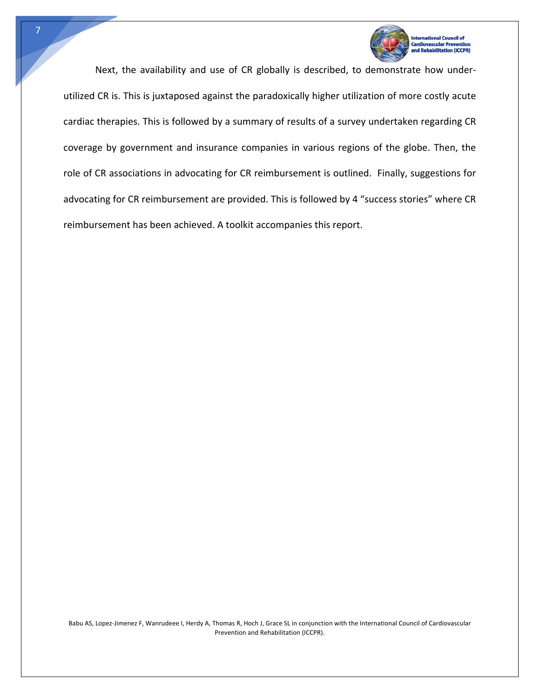

Next, the availability and use of CR globally is described, to demonstrate how under‐ utilized CR is. This is juxtaposed against the paradoxically higher utilization of more costly acute cardiac therapies. This is followed by a summary of results of a survey undertaken regarding CR coverage by government and insurance companies in various regions of the globe. Then, the role of CR associations in advocating for CR reimbursement is outlined. Finally, suggestions for advocating for CR reimbursement are provided. This is followed by 4 "success stories" where CR reimbursement has been achieved. A toolkit accompanies this report.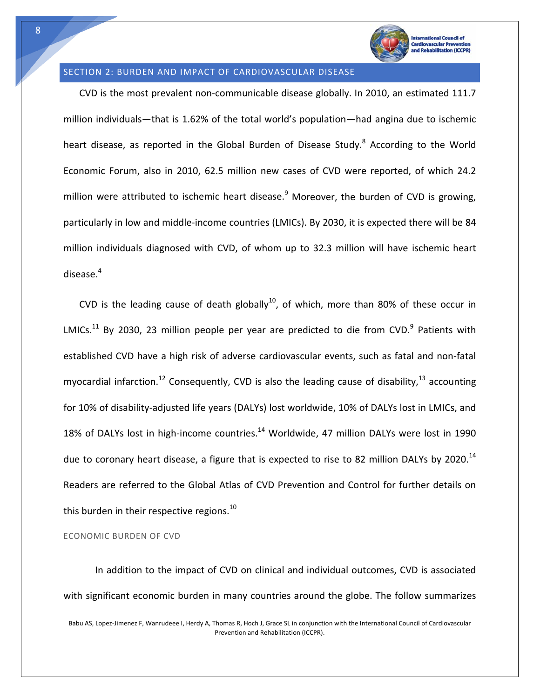

litation (ICCPR)

## SECTION 2: BURDEN AND IMPACT OF CARDIOVASCULAR DISEASE

CVD is the most prevalent non‐communicable disease globally. In 2010, an estimated 111.7 million individuals—that is 1.62% of the total world's population—had angina due to ischemic heart disease, as reported in the Global Burden of Disease Study.<sup>8</sup> According to the World Economic Forum, also in 2010, 62.5 million new cases of CVD were reported, of which 24.2 million were attributed to ischemic heart disease.<sup>9</sup> Moreover, the burden of CVD is growing, particularly in low and middle-income countries (LMICs). By 2030, it is expected there will be 84 million individuals diagnosed with CVD, of whom up to 32.3 million will have ischemic heart disease. $4$ 

CVD is the leading cause of death globally<sup>10</sup>, of which, more than 80% of these occur in LMICs.<sup>11</sup> By 2030, 23 million people per year are predicted to die from CVD.<sup>9</sup> Patients with established CVD have a high risk of adverse cardiovascular events, such as fatal and non‐fatal myocardial infarction.<sup>12</sup> Consequently, CVD is also the leading cause of disability,<sup>13</sup> accounting for 10% of disability-adjusted life years (DALYs) lost worldwide, 10% of DALYs lost in LMICs, and 18% of DALYs lost in high-income countries.<sup>14</sup> Worldwide, 47 million DALYs were lost in 1990 due to coronary heart disease, a figure that is expected to rise to 82 million DALYs by 2020.<sup>14</sup> Readers are referred to the Global Atlas of CVD Prevention and Control for further details on this burden in their respective regions.<sup>10</sup>

ECONOMIC BURDEN OF CVD

In addition to the impact of CVD on clinical and individual outcomes, CVD is associated with significant economic burden in many countries around the globe. The follow summarizes

Babu AS, Lopez‐Jimenez F, Wanrudeee I, Herdy A, Thomas R, Hoch J, Grace SL in conjunction with the International Council of Cardiovascular Prevention and Rehabilitation (ICCPR).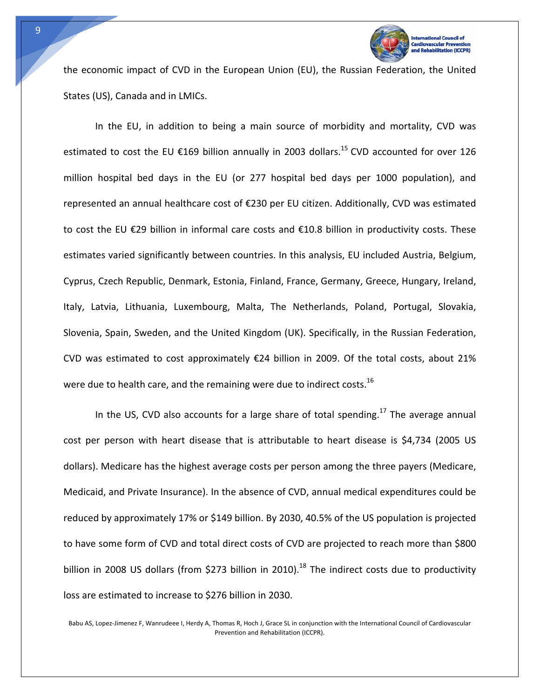

**Itation (ICCPR)** 

the economic impact of CVD in the European Union (EU), the Russian Federation, the United States (US), Canada and in LMICs.

In the EU, in addition to being a main source of morbidity and mortality, CVD was estimated to cost the EU  $\epsilon$ 169 billion annually in 2003 dollars.<sup>15</sup> CVD accounted for over 126 million hospital bed days in the EU (or 277 hospital bed days per 1000 population), and represented an annual healthcare cost of €230 per EU citizen. Additionally, CVD was estimated to cost the EU €29 billion in informal care costs and €10.8 billion in productivity costs. These estimates varied significantly between countries. In this analysis, EU included Austria, Belgium, Cyprus, Czech Republic, Denmark, Estonia, Finland, France, Germany, Greece, Hungary, Ireland, Italy, Latvia, Lithuania, Luxembourg, Malta, The Netherlands, Poland, Portugal, Slovakia, Slovenia, Spain, Sweden, and the United Kingdom (UK). Specifically, in the Russian Federation, CVD was estimated to cost approximately €24 billion in 2009. Of the total costs, about 21% were due to health care, and the remaining were due to indirect costs.<sup>16</sup>

In the US, CVD also accounts for a large share of total spending.<sup>17</sup> The average annual cost per person with heart disease that is attributable to heart disease is \$4,734 (2005 US dollars). Medicare has the highest average costs per person among the three payers (Medicare, Medicaid, and Private Insurance). In the absence of CVD, annual medical expenditures could be reduced by approximately 17% or \$149 billion. By 2030, 40.5% of the US population is projected to have some form of CVD and total direct costs of CVD are projected to reach more than \$800 billion in 2008 US dollars (from \$273 billion in 2010).<sup>18</sup> The indirect costs due to productivity loss are estimated to increase to \$276 billion in 2030.

Babu AS, Lopez‐Jimenez F, Wanrudeee I, Herdy A, Thomas R, Hoch J, Grace SL in conjunction with the International Council of Cardiovascular Prevention and Rehabilitation (ICCPR).

9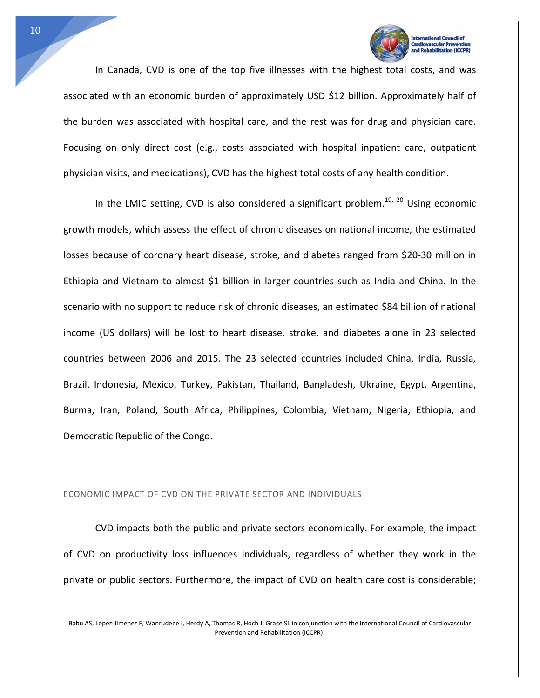

In Canada, CVD is one of the top five illnesses with the highest total costs, and was associated with an economic burden of approximately USD \$12 billion. Approximately half of the burden was associated with hospital care, and the rest was for drug and physician care. Focusing on only direct cost (e.g., costs associated with hospital inpatient care, outpatient physician visits, and medications), CVD has the highest total costs of any health condition.

In the LMIC setting, CVD is also considered a significant problem.<sup>19, 20</sup> Using economic growth models, which assess the effect of chronic diseases on national income, the estimated losses because of coronary heart disease, stroke, and diabetes ranged from \$20‐30 million in Ethiopia and Vietnam to almost \$1 billion in larger countries such as India and China. In the scenario with no support to reduce risk of chronic diseases, an estimated \$84 billion of national income (US dollars) will be lost to heart disease, stroke, and diabetes alone in 23 selected countries between 2006 and 2015. The 23 selected countries included China, India, Russia, Brazil, Indonesia, Mexico, Turkey, Pakistan, Thailand, Bangladesh, Ukraine, Egypt, Argentina, Burma, Iran, Poland, South Africa, Philippines, Colombia, Vietnam, Nigeria, Ethiopia, and Democratic Republic of the Congo.

#### ECONOMIC IMPACT OF CVD ON THE PRIVATE SECTOR AND INDIVIDUALS

CVD impacts both the public and private sectors economically. For example, the impact of CVD on productivity loss influences individuals, regardless of whether they work in the private or public sectors. Furthermore, the impact of CVD on health care cost is considerable;

Babu AS, Lopez‐Jimenez F, Wanrudeee I, Herdy A, Thomas R, Hoch J, Grace SL in conjunction with the International Council of Cardiovascular Prevention and Rehabilitation (ICCPR).

10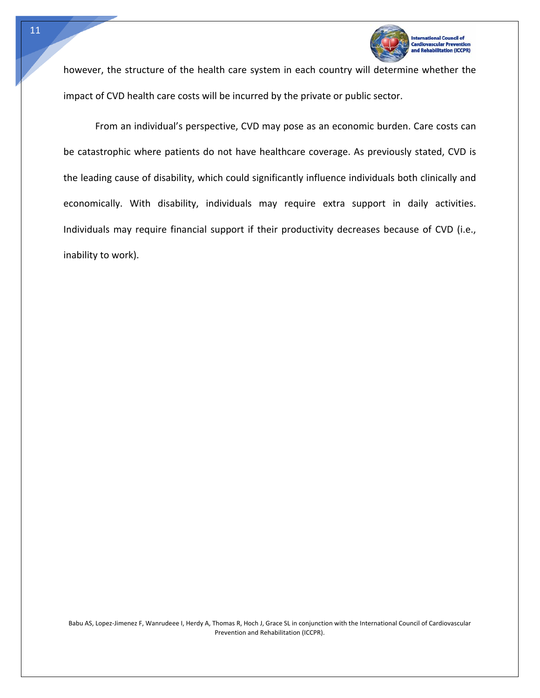

**Itation (ICCPR)** 

however, the structure of the health care system in each country will determine whether the impact of CVD health care costs will be incurred by the private or public sector.

From an individual's perspective, CVD may pose as an economic burden. Care costs can be catastrophic where patients do not have healthcare coverage. As previously stated, CVD is the leading cause of disability, which could significantly influence individuals both clinically and economically. With disability, individuals may require extra support in daily activities. Individuals may require financial support if their productivity decreases because of CVD (i.e., inability to work).

11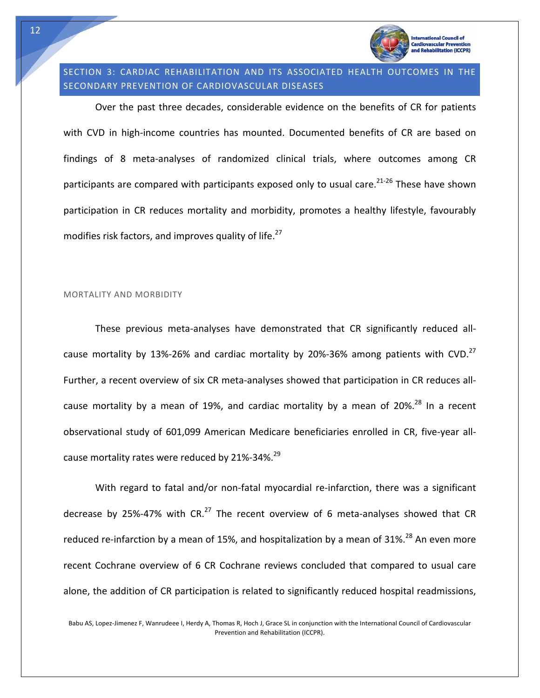

**litation (ICCPR)** 

# SECTION 3: CARDIAC REHABILITATION AND ITS ASSOCIATED HEALTH OUTCOMES IN THE SECONDARY PREVENTION OF CARDIOVASCULAR DISEASES

Over the past three decades, considerable evidence on the benefits of CR for patients with CVD in high-income countries has mounted. Documented benefits of CR are based on findings of 8 meta‐analyses of randomized clinical trials, where outcomes among CR participants are compared with participants exposed only to usual care. $21-26$  These have shown participation in CR reduces mortality and morbidity, promotes a healthy lifestyle, favourably modifies risk factors, and improves quality of life.<sup>27</sup>

#### MORTALITY AND MORBIDITY

These previous meta‐analyses have demonstrated that CR significantly reduced all‐ cause mortality by 13%-26% and cardiac mortality by 20%-36% among patients with CVD.<sup>27</sup> Further, a recent overview of six CR meta‐analyses showed that participation in CR reduces all‐ cause mortality by a mean of 19%, and cardiac mortality by a mean of 20%.<sup>28</sup> In a recent observational study of 601,099 American Medicare beneficiaries enrolled in CR, five‐year all‐ cause mortality rates were reduced by 21%-34%. $^{29}$ 

With regard to fatal and/or non-fatal myocardial re-infarction, there was a significant decrease by 25%-47% with  $CR<sup>27</sup>$  The recent overview of 6 meta-analyses showed that CR reduced re-infarction by a mean of 15%, and hospitalization by a mean of 31%.<sup>28</sup> An even more recent Cochrane overview of 6 CR Cochrane reviews concluded that compared to usual care alone, the addition of CR participation is related to significantly reduced hospital readmissions,

Babu AS, Lopez‐Jimenez F, Wanrudeee I, Herdy A, Thomas R, Hoch J, Grace SL in conjunction with the International Council of Cardiovascular Prevention and Rehabilitation (ICCPR).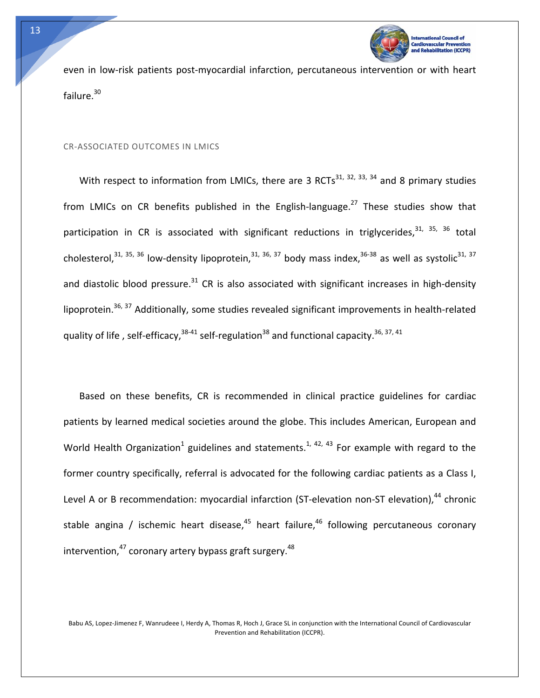

even in low-risk patients post-myocardial infarction, percutaneous intervention or with heart failure.<sup>30</sup>

#### CR‐ASSOCIATED OUTCOMES IN LMICS

With respect to information from LMICs, there are 3 RCTs<sup>31, 32, 33, 34</sup> and 8 primary studies from LMICs on CR benefits published in the English-language.<sup>27</sup> These studies show that participation in CR is associated with significant reductions in triglycerides,  $31, 35, 36$  total cholesterol,  $31, 35, 36$  low-density lipoprotein,  $31, 36, 37$  body mass index,  $36-38$  as well as systolic  $31, 37$ and diastolic blood pressure. $31$  CR is also associated with significant increases in high-density lipoprotein.<sup>36, 37</sup> Additionally, some studies revealed significant improvements in health-related quality of life, self-efficacy,  $38-41$  self-regulation  $38$  and functional capacity.  $36, 37, 41$ 

Based on these benefits, CR is recommended in clinical practice guidelines for cardiac patients by learned medical societies around the globe. This includes American, European and World Health Organization<sup>1</sup> guidelines and statements.<sup>1, 42, 43</sup> For example with regard to the former country specifically, referral is advocated for the following cardiac patients as a Class I, Level A or B recommendation: myocardial infarction (ST-elevation non-ST elevation), $44$  chronic stable angina / ischemic heart disease,  $45$  heart failure,  $46$  following percutaneous coronary intervention, $47$  coronary artery bypass graft surgery. $48$ 

Babu AS, Lopez‐Jimenez F, Wanrudeee I, Herdy A, Thomas R, Hoch J, Grace SL in conjunction with the International Council of Cardiovascular Prevention and Rehabilitation (ICCPR).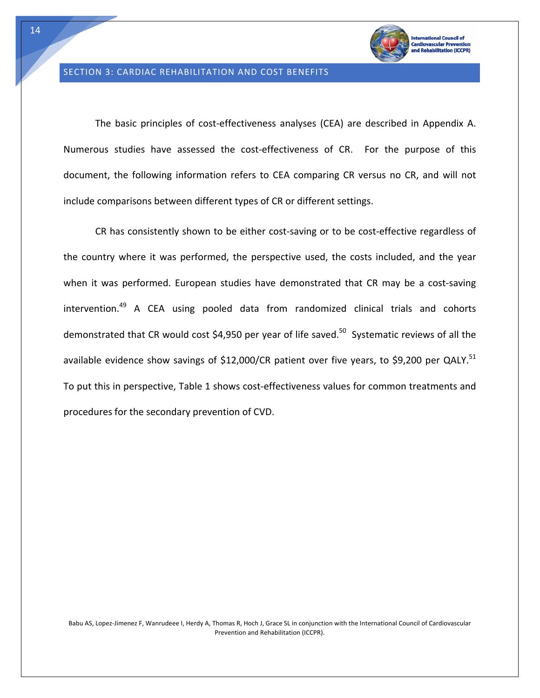

#### SECTION 3: CARDIAC REHABILITATION AND COST BENEFITS

The basic principles of cost-effectiveness analyses (CEA) are described in Appendix A. Numerous studies have assessed the cost-effectiveness of CR. For the purpose of this document, the following information refers to CEA comparing CR versus no CR, and will not include comparisons between different types of CR or different settings.

CR has consistently shown to be either cost‐saving or to be cost‐effective regardless of the country where it was performed, the perspective used, the costs included, and the year when it was performed. European studies have demonstrated that CR may be a cost-saving intervention. $49$  A CEA using pooled data from randomized clinical trials and cohorts demonstrated that CR would cost \$4,950 per year of life saved.<sup>50</sup> Systematic reviews of all the available evidence show savings of \$12,000/CR patient over five years, to \$9,200 per QALY.<sup>51</sup> To put this in perspective, Table 1 shows cost-effectiveness values for common treatments and procedures for the secondary prevention of CVD.

14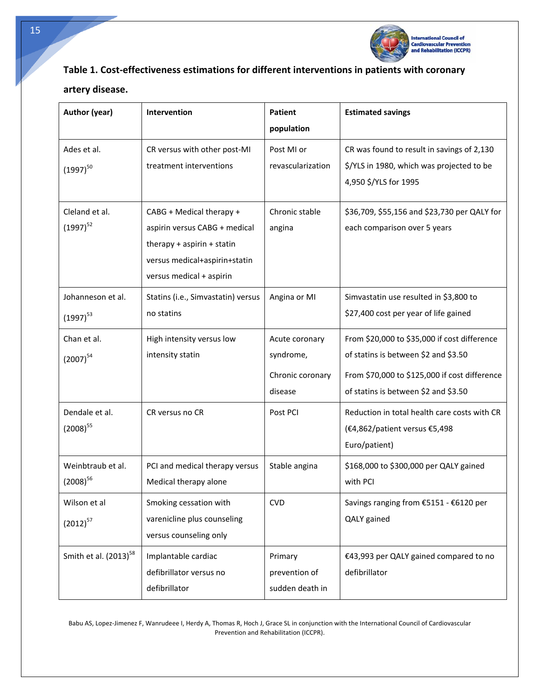

# **Table 1. Cost‐effectiveness estimations for different interventions in patients with coronary**

# **artery disease.**

Tech

| Author (year)                      | <b>Intervention</b>                                                                                                                                  | <b>Patient</b><br>population                               | <b>Estimated savings</b>                                                                                                                                                      |
|------------------------------------|------------------------------------------------------------------------------------------------------------------------------------------------------|------------------------------------------------------------|-------------------------------------------------------------------------------------------------------------------------------------------------------------------------------|
| Ades et al.<br>$(1997)^{50}$       | CR versus with other post-MI<br>treatment interventions                                                                                              | Post MI or<br>revascularization                            | CR was found to result in savings of 2,130<br>\$/YLS in 1980, which was projected to be<br>4,950 \$/YLS for 1995                                                              |
| Cleland et al.<br>$(1997)^{52}$    | CABG + Medical therapy +<br>aspirin versus CABG + medical<br>therapy + aspirin + statin<br>versus medical+aspirin+statin<br>versus medical + aspirin | Chronic stable<br>angina                                   | \$36,709, \$55,156 and \$23,730 per QALY for<br>each comparison over 5 years                                                                                                  |
| Johanneson et al.<br>$(1997)^{53}$ | Statins (i.e., Simvastatin) versus<br>no statins                                                                                                     | Angina or MI                                               | Simvastatin use resulted in \$3,800 to<br>\$27,400 cost per year of life gained                                                                                               |
| Chan et al.<br>$(2007)^{54}$       | High intensity versus low<br>intensity statin                                                                                                        | Acute coronary<br>syndrome,<br>Chronic coronary<br>disease | From \$20,000 to \$35,000 if cost difference<br>of statins is between \$2 and \$3.50<br>From \$70,000 to \$125,000 if cost difference<br>of statins is between \$2 and \$3.50 |
| Dendale et al.<br>$(2008)^{55}$    | CR versus no CR                                                                                                                                      | Post PCI                                                   | Reduction in total health care costs with CR<br>(€4,862/patient versus €5,498<br>Euro/patient)                                                                                |
| Weinbtraub et al.<br>$(2008)^{56}$ | PCI and medical therapy versus<br>Medical therapy alone                                                                                              | Stable angina                                              | \$168,000 to \$300,000 per QALY gained<br>with PCI                                                                                                                            |
| Wilson et al<br>$(2012)^{57}$      | Smoking cessation with<br>varenicline plus counseling<br>versus counseling only                                                                      | <b>CVD</b>                                                 | Savings ranging from €5151 - €6120 per<br>QALY gained                                                                                                                         |
| Smith et al. $(2013)^{58}$         | Implantable cardiac<br>defibrillator versus no<br>defibrillator                                                                                      | Primary<br>prevention of<br>sudden death in                | €43,993 per QALY gained compared to no<br>defibrillator                                                                                                                       |

Babu AS, Lopez‐Jimenez F, Wanrudeee I, Herdy A, Thomas R, Hoch J, Grace SL in conjunction with the International Council of Cardiovascular Prevention and Rehabilitation (ICCPR).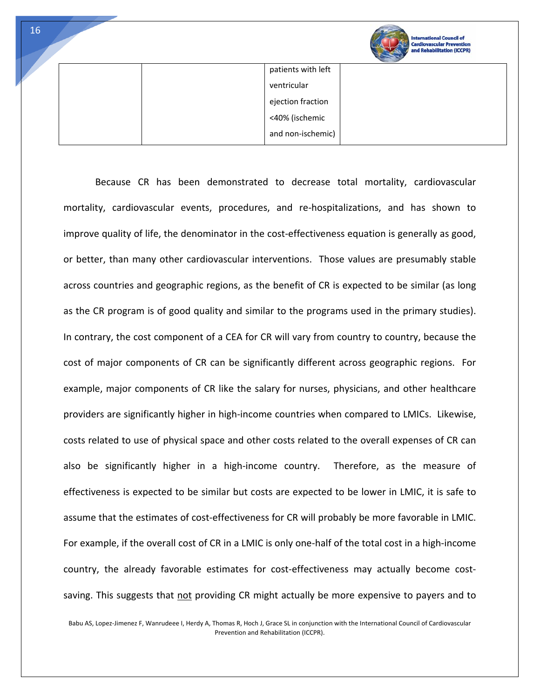|  | <b>International Council of</b><br><b>Cardiovascular Prevention</b><br>and Rehabilitation (ICCPR) |
|--|---------------------------------------------------------------------------------------------------|
|--|---------------------------------------------------------------------------------------------------|

| patients with left |
|--------------------|
| ventricular        |
| ejection fraction  |
| <40% (ischemic     |
| and non-ischemic)  |

Because CR has been demonstrated to decrease total mortality, cardiovascular mortality, cardiovascular events, procedures, and re‐hospitalizations, and has shown to improve quality of life, the denominator in the cost-effectiveness equation is generally as good, or better, than many other cardiovascular interventions. Those values are presumably stable across countries and geographic regions, as the benefit of CR is expected to be similar (as long as the CR program is of good quality and similar to the programs used in the primary studies). In contrary, the cost component of a CEA for CR will vary from country to country, because the cost of major components of CR can be significantly different across geographic regions. For example, major components of CR like the salary for nurses, physicians, and other healthcare providers are significantly higher in high-income countries when compared to LMICs. Likewise, costs related to use of physical space and other costs related to the overall expenses of CR can also be significantly higher in a high-income country. Therefore, as the measure of effectiveness is expected to be similar but costs are expected to be lower in LMIC, it is safe to assume that the estimates of cost-effectiveness for CR will probably be more favorable in LMIC. For example, if the overall cost of CR in a LMIC is only one-half of the total cost in a high-income country, the already favorable estimates for cost‐effectiveness may actually become cost‐ saving. This suggests that not providing CR might actually be more expensive to payers and to

Babu AS, Lopez‐Jimenez F, Wanrudeee I, Herdy A, Thomas R, Hoch J, Grace SL in conjunction with the International Council of Cardiovascular Prevention and Rehabilitation (ICCPR).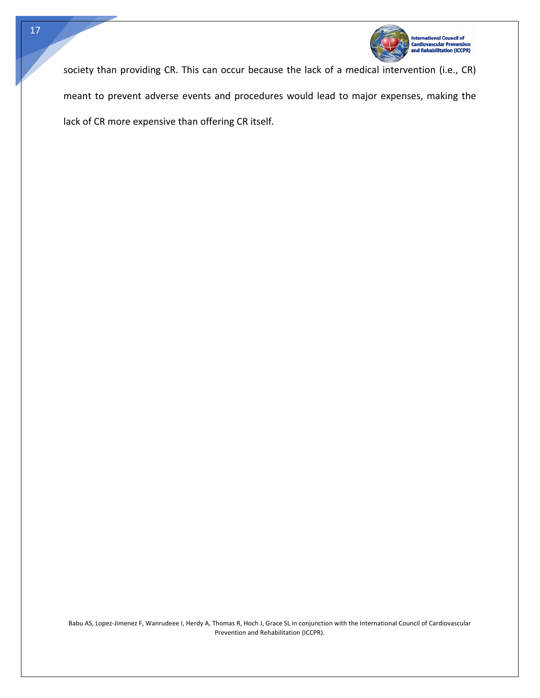

society than providing CR. This can occur because the lack of a medical intervention (i.e., CR) meant to prevent adverse events and procedures would lead to major expenses, making the lack of CR more expensive than offering CR itself.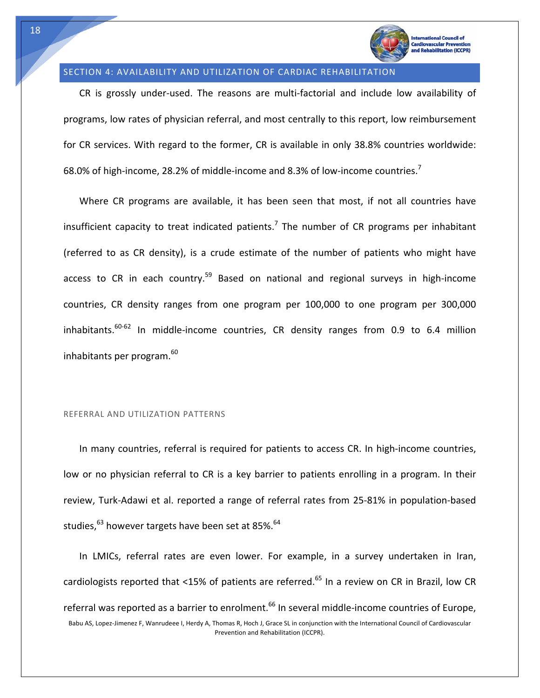

#### SECTION 4: AVAILABILITY AND UTILIZATION OF CARDIAC REHABILITATION

CR is grossly under‐used. The reasons are multi‐factorial and include low availability of programs, low rates of physician referral, and most centrally to this report, low reimbursement for CR services. With regard to the former, CR is available in only 38.8% countries worldwide: 68.0% of high-income, 28.2% of middle-income and 8.3% of low-income countries.<sup>7</sup>

Where CR programs are available, it has been seen that most, if not all countries have insufficient capacity to treat indicated patients.<sup>7</sup> The number of CR programs per inhabitant (referred to as CR density), is a crude estimate of the number of patients who might have access to CR in each country.<sup>59</sup> Based on national and regional surveys in high-income countries, CR density ranges from one program per 100,000 to one program per 300,000 inhabitants.<sup>60-62</sup> In middle-income countries, CR density ranges from 0.9 to 6.4 million inhabitants per program.<sup>60</sup>

#### REFERRAL AND UTILIZATION PATTERNS

In many countries, referral is required for patients to access CR. In high-income countries, low or no physician referral to CR is a key barrier to patients enrolling in a program. In their review, Turk‐Adawi et al. reported a range of referral rates from 25‐81% in population‐based studies, $^{63}$  however targets have been set at 85%.  $^{64}$ 

Babu AS, Lopez‐Jimenez F, Wanrudeee I, Herdy A, Thomas R, Hoch J, Grace SL in conjunction with the International Council of Cardiovascular Prevention and Rehabilitation (ICCPR). In LMICs, referral rates are even lower. For example, in a survey undertaken in Iran, cardiologists reported that <15% of patients are referred.<sup>65</sup> In a review on CR in Brazil, low CR referral was reported as a barrier to enrolment.<sup>66</sup> In several middle-income countries of Europe,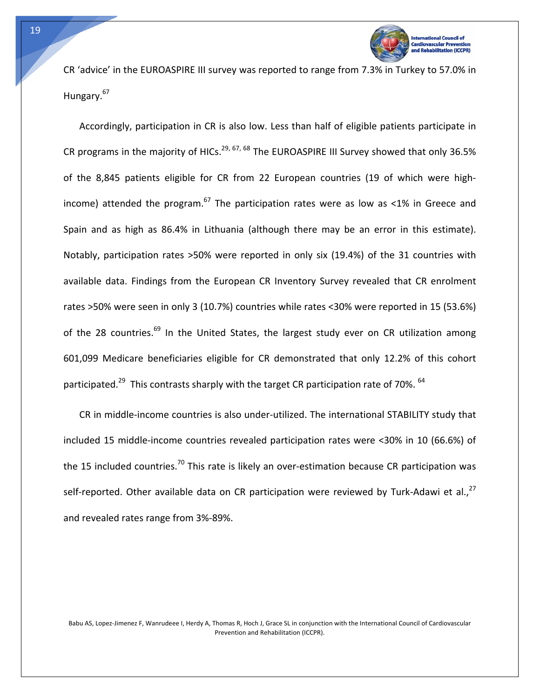

CR 'advice' in the EUROASPIRE III survey was reported to range from 7.3% in Turkey to 57.0% in Hungary.<sup>67</sup>

Accordingly, participation in CR is also low. Less than half of eligible patients participate in CR programs in the majority of HICs.<sup>29, 67, 68</sup> The EUROASPIRE III Survey showed that only 36.5% of the 8,845 patients eligible for CR from 22 European countries (19 of which were high‐ income) attended the program.<sup>67</sup> The participation rates were as low as <1% in Greece and Spain and as high as 86.4% in Lithuania (although there may be an error in this estimate). Notably, participation rates >50% were reported in only six (19.4%) of the 31 countries with available data. Findings from the European CR Inventory Survey revealed that CR enrolment rates >50% were seen in only 3 (10.7%) countries while rates <30% were reported in 15 (53.6%) of the 28 countries.<sup>69</sup> In the United States, the largest study ever on CR utilization among 601,099 Medicare beneficiaries eligible for CR demonstrated that only 12.2% of this cohort participated.<sup>29</sup> This contrasts sharply with the target CR participation rate of 70%.  $64$ 

CR in middle‐income countries is also under‐utilized. The international STABILITY study that included 15 middle‐income countries revealed participation rates were <30% in 10 (66.6%) of the 15 included countries.<sup>70</sup> This rate is likely an over-estimation because CR participation was self-reported. Other available data on CR participation were reviewed by Turk-Adawi et al., $^{27}$ and revealed rates range from 3%‐89%.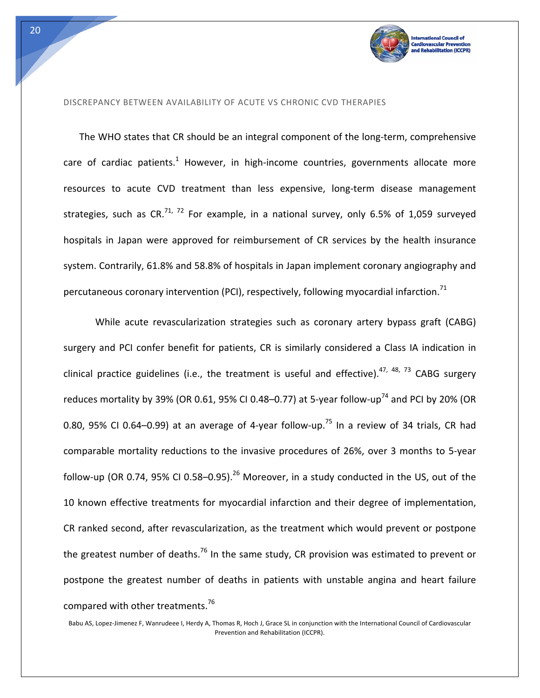

#### DISCREPANCY BETWEEN AVAILABILITY OF ACUTE VS CHRONIC CVD THERAPIES

The WHO states that CR should be an integral component of the long-term, comprehensive care of cardiac patients.<sup>1</sup> However, in high-income countries, governments allocate more resources to acute CVD treatment than less expensive, long-term disease management strategies, such as CR.<sup>71, 72</sup> For example, in a national survey, only 6.5% of 1,059 surveyed hospitals in Japan were approved for reimbursement of CR services by the health insurance system. Contrarily, 61.8% and 58.8% of hospitals in Japan implement coronary angiography and percutaneous coronary intervention (PCI), respectively, following myocardial infarction.<sup>71</sup>

While acute revascularization strategies such as coronary artery bypass graft (CABG) surgery and PCI confer benefit for patients, CR is similarly considered a Class IA indication in clinical practice guidelines (i.e., the treatment is useful and effective).<sup>47, 48, 73</sup> CABG surgery reduces mortality by 39% (OR 0.61, 95% CI 0.48–0.77) at 5-year follow-up<sup>74</sup> and PCI by 20% (OR 0.80, 95% CI 0.64–0.99) at an average of 4-year follow-up.<sup>75</sup> In a review of 34 trials, CR had comparable mortality reductions to the invasive procedures of 26%, over 3 months to 5‐year follow-up (OR 0.74, 95% CI 0.58–0.95).<sup>26</sup> Moreover, in a study conducted in the US, out of the 10 known effective treatments for myocardial infarction and their degree of implementation, CR ranked second, after revascularization, as the treatment which would prevent or postpone the greatest number of deaths.<sup>76</sup> In the same study, CR provision was estimated to prevent or postpone the greatest number of deaths in patients with unstable angina and heart failure compared with other treatments.<sup>76</sup>

Babu AS, Lopez‐Jimenez F, Wanrudeee I, Herdy A, Thomas R, Hoch J, Grace SL in conjunction with the International Council of Cardiovascular Prevention and Rehabilitation (ICCPR).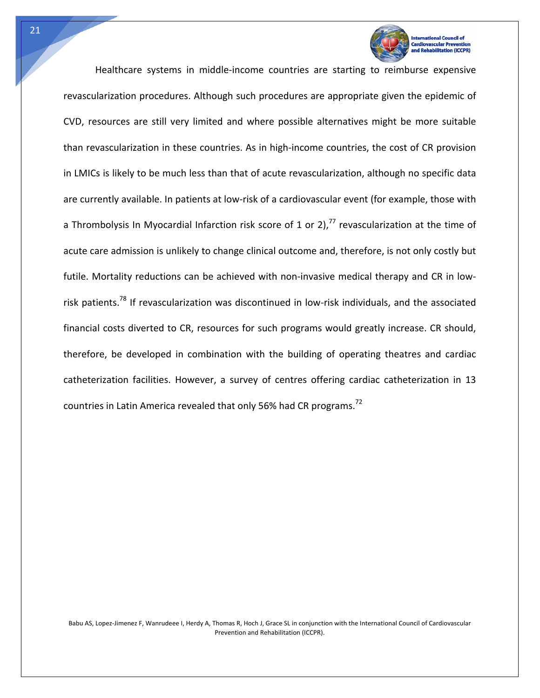

**vascular Preve** 

Healthcare systems in middle‐income countries are starting to reimburse expensive revascularization procedures. Although such procedures are appropriate given the epidemic of CVD, resources are still very limited and where possible alternatives might be more suitable than revascularization in these countries. As in high‐income countries, the cost of CR provision in LMICs is likely to be much less than that of acute revascularization, although no specific data are currently available. In patients at low-risk of a cardiovascular event (for example, those with a Thrombolysis In Myocardial Infarction risk score of 1 or 2),<sup>77</sup> revascularization at the time of acute care admission is unlikely to change clinical outcome and, therefore, is not only costly but futile. Mortality reductions can be achieved with non-invasive medical therapy and CR in lowrisk patients.<sup>78</sup> If revascularization was discontinued in low-risk individuals, and the associated financial costs diverted to CR, resources for such programs would greatly increase. CR should, therefore, be developed in combination with the building of operating theatres and cardiac catheterization facilities. However, a survey of centres offering cardiac catheterization in 13 countries in Latin America revealed that only 56% had CR programs.<sup>72</sup>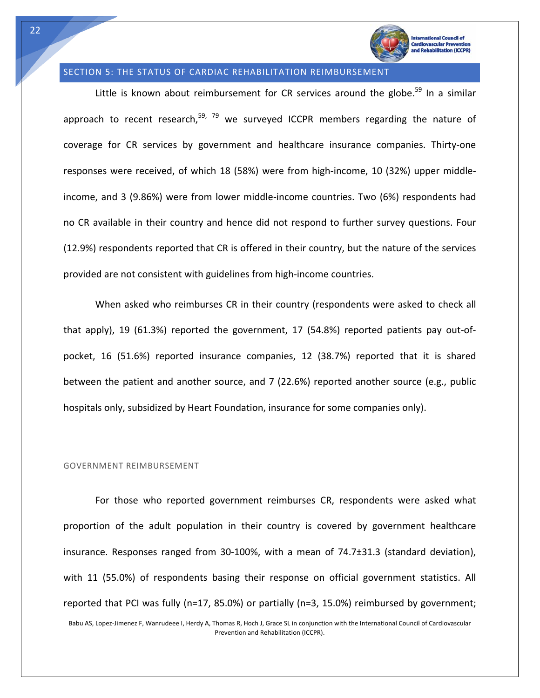

#### SECTION 5: THE STATUS OF CARDIAC REHABILITATION REIMBURSEMENT

Little is known about reimbursement for CR services around the globe.<sup>59</sup> In a similar approach to recent research,<sup>59, 79</sup> we surveyed ICCPR members regarding the nature of coverage for CR services by government and healthcare insurance companies. Thirty-one responses were received, of which 18 (58%) were from high-income, 10 (32%) upper middleincome, and 3 (9.86%) were from lower middle‐income countries. Two (6%) respondents had no CR available in their country and hence did not respond to further survey questions. Four (12.9%) respondents reported that CR is offered in their country, but the nature of the services provided are not consistent with guidelines from high‐income countries.

When asked who reimburses CR in their country (respondents were asked to check all that apply), 19 (61.3%) reported the government, 17 (54.8%) reported patients pay out‐of‐ pocket, 16 (51.6%) reported insurance companies, 12 (38.7%) reported that it is shared between the patient and another source, and 7 (22.6%) reported another source (e.g., public hospitals only, subsidized by Heart Foundation, insurance for some companies only).

#### GOVERNMENT REIMBURSEMENT

Babu AS, Lopez‐Jimenez F, Wanrudeee I, Herdy A, Thomas R, Hoch J, Grace SL in conjunction with the International Council of Cardiovascular For those who reported government reimburses CR, respondents were asked what proportion of the adult population in their country is covered by government healthcare insurance. Responses ranged from 30-100%, with a mean of 74.7±31.3 (standard deviation), with 11 (55.0%) of respondents basing their response on official government statistics. All reported that PCI was fully (n=17, 85.0%) or partially (n=3, 15.0%) reimbursed by government;

Prevention and Rehabilitation (ICCPR).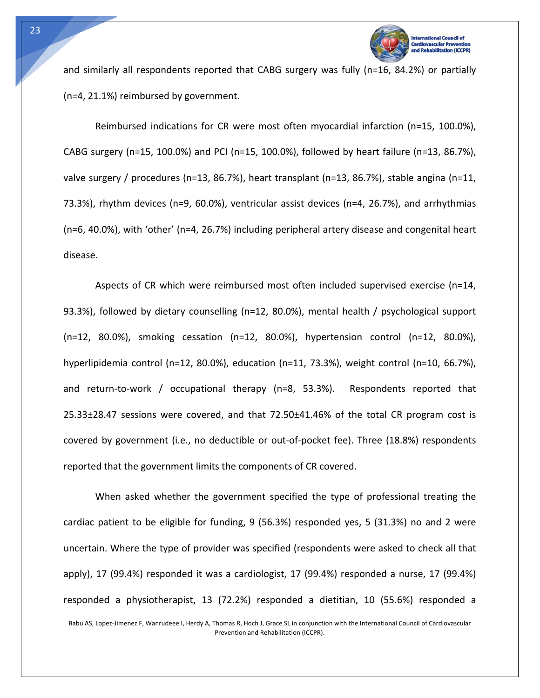

**Itation (ICCPR)** 

and similarly all respondents reported that CABG surgery was fully (n=16, 84.2%) or partially (n=4, 21.1%) reimbursed by government.

Reimbursed indications for CR were most often myocardial infarction (n=15, 100.0%), CABG surgery (n=15, 100.0%) and PCI (n=15, 100.0%), followed by heart failure (n=13, 86.7%), valve surgery / procedures (n=13, 86.7%), heart transplant (n=13, 86.7%), stable angina (n=11, 73.3%), rhythm devices (n=9, 60.0%), ventricular assist devices (n=4, 26.7%), and arrhythmias (n=6, 40.0%), with 'other' (n=4, 26.7%) including peripheral artery disease and congenital heart disease.

Aspects of CR which were reimbursed most often included supervised exercise (n=14, 93.3%), followed by dietary counselling (n=12, 80.0%), mental health / psychological support (n=12, 80.0%), smoking cessation (n=12, 80.0%), hypertension control (n=12, 80.0%), hyperlipidemia control (n=12, 80.0%), education (n=11, 73.3%), weight control (n=10, 66.7%), and return-to-work / occupational therapy (n=8, 53.3%). Respondents reported that 25.33±28.47 sessions were covered, and that 72.50±41.46% of the total CR program cost is covered by government (i.e., no deductible or out‐of‐pocket fee). Three (18.8%) respondents reported that the government limits the components of CR covered.

When asked whether the government specified the type of professional treating the cardiac patient to be eligible for funding, 9 (56.3%) responded yes, 5 (31.3%) no and 2 were uncertain. Where the type of provider was specified (respondents were asked to check all that apply), 17 (99.4%) responded it was a cardiologist, 17 (99.4%) responded a nurse, 17 (99.4%) responded a physiotherapist, 13 (72.2%) responded a dietitian, 10 (55.6%) responded a

Babu AS, Lopez‐Jimenez F, Wanrudeee I, Herdy A, Thomas R, Hoch J, Grace SL in conjunction with the International Council of Cardiovascular Prevention and Rehabilitation (ICCPR).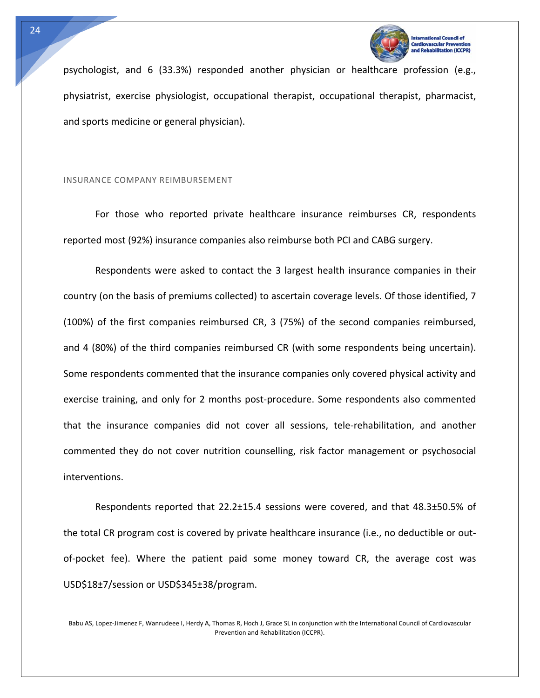

psychologist, and 6 (33.3%) responded another physician or healthcare profession (e.g., physiatrist, exercise physiologist, occupational therapist, occupational therapist, pharmacist, and sports medicine or general physician).

#### INSURANCE COMPANY REIMBURSEMENT

For those who reported private healthcare insurance reimburses CR, respondents reported most (92%) insurance companies also reimburse both PCI and CABG surgery.

Respondents were asked to contact the 3 largest health insurance companies in their country (on the basis of premiums collected) to ascertain coverage levels. Of those identified, 7 (100%) of the first companies reimbursed CR, 3 (75%) of the second companies reimbursed, and 4 (80%) of the third companies reimbursed CR (with some respondents being uncertain). Some respondents commented that the insurance companies only covered physical activity and exercise training, and only for 2 months post-procedure. Some respondents also commented that the insurance companies did not cover all sessions, tele‐rehabilitation, and another commented they do not cover nutrition counselling, risk factor management or psychosocial interventions.

Respondents reported that 22.2±15.4 sessions were covered, and that 48.3±50.5% of the total CR program cost is covered by private healthcare insurance (i.e., no deductible or out‐ of‐pocket fee). Where the patient paid some money toward CR, the average cost was USD\$18±7/session or USD\$345±38/program.

Babu AS, Lopez‐Jimenez F, Wanrudeee I, Herdy A, Thomas R, Hoch J, Grace SL in conjunction with the International Council of Cardiovascular Prevention and Rehabilitation (ICCPR).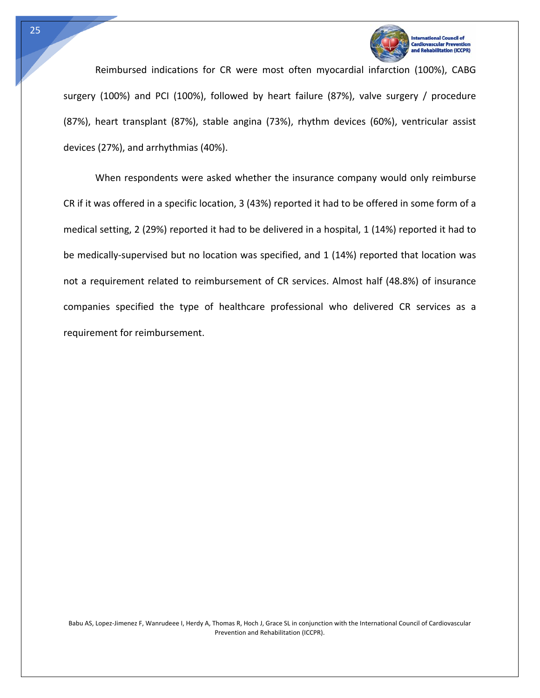

n (ICCPR)

Reimbursed indications for CR were most often myocardial infarction (100%), CABG surgery (100%) and PCI (100%), followed by heart failure (87%), valve surgery / procedure (87%), heart transplant (87%), stable angina (73%), rhythm devices (60%), ventricular assist devices (27%), and arrhythmias (40%).

When respondents were asked whether the insurance company would only reimburse CR if it was offered in a specific location, 3 (43%) reported it had to be offered in some form of a medical setting, 2 (29%) reported it had to be delivered in a hospital, 1 (14%) reported it had to be medically-supervised but no location was specified, and 1 (14%) reported that location was not a requirement related to reimbursement of CR services. Almost half (48.8%) of insurance companies specified the type of healthcare professional who delivered CR services as a requirement for reimbursement.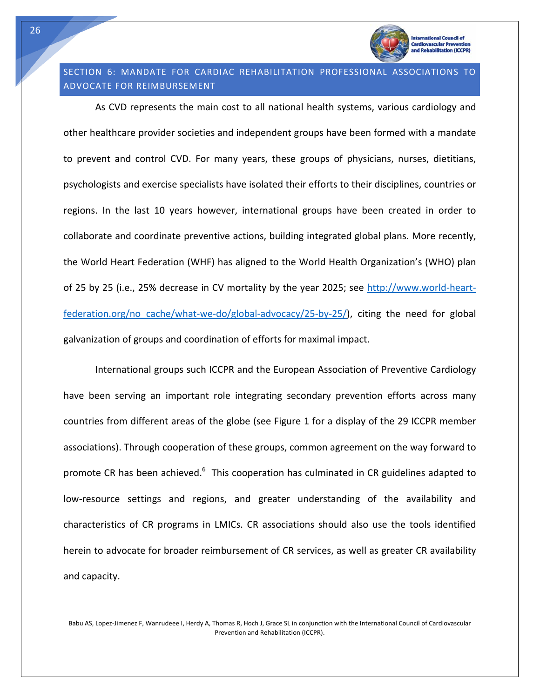

#### **International Council of** Cardiovascular Prever abilitation (ICCPR)

## SECTION 6: MANDATE FOR CARDIAC REHABILITATION PROFESSIONAL ASSOCIATIONS TO ADVOCATE FOR REIMBURSEMENT

As CVD represents the main cost to all national health systems, various cardiology and other healthcare provider societies and independent groups have been formed with a mandate to prevent and control CVD. For many years, these groups of physicians, nurses, dietitians, psychologists and exercise specialists have isolated their efforts to their disciplines, countries or regions. In the last 10 years however, international groups have been created in order to collaborate and coordinate preventive actions, building integrated global plans. More recently, the World Heart Federation (WHF) has aligned to the World Health Organization's (WHO) plan of 25 by 25 (i.e., 25% decrease in CV mortality by the year 2025; see http://www.world‐heart‐  $f$ ederation.org/no cache/what‐we‐do/global‐advocacy/25‐by‐25/), citing the need for global galvanization of groups and coordination of efforts for maximal impact.

International groups such ICCPR and the European Association of Preventive Cardiology have been serving an important role integrating secondary prevention efforts across many countries from different areas of the globe (see Figure 1 for a display of the 29 ICCPR member associations). Through cooperation of these groups, common agreement on the way forward to promote CR has been achieved.<sup>6</sup> This cooperation has culminated in CR guidelines adapted to low-resource settings and regions, and greater understanding of the availability and characteristics of CR programs in LMICs. CR associations should also use the tools identified herein to advocate for broader reimbursement of CR services, as well as greater CR availability and capacity.

Babu AS, Lopez‐Jimenez F, Wanrudeee I, Herdy A, Thomas R, Hoch J, Grace SL in conjunction with the International Council of Cardiovascular Prevention and Rehabilitation (ICCPR).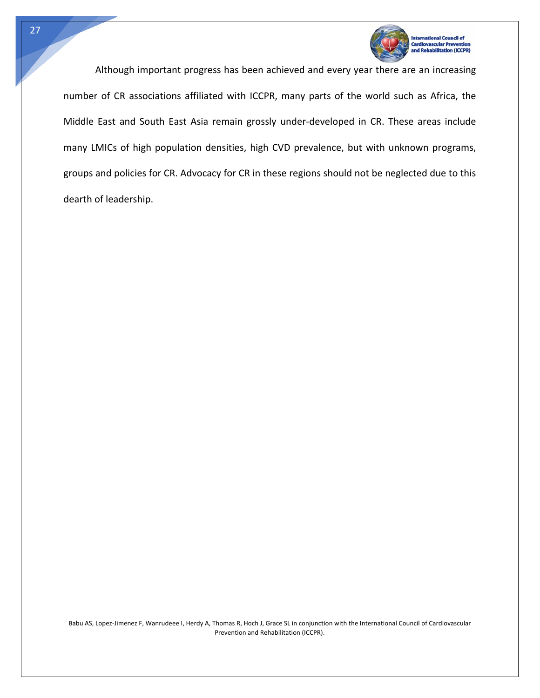

litation (ICCPR)

Although important progress has been achieved and every year there are an increasing number of CR associations affiliated with ICCPR, many parts of the world such as Africa, the Middle East and South East Asia remain grossly under‐developed in CR. These areas include many LMICs of high population densities, high CVD prevalence, but with unknown programs, groups and policies for CR. Advocacy for CR in these regions should not be neglected due to this dearth of leadership.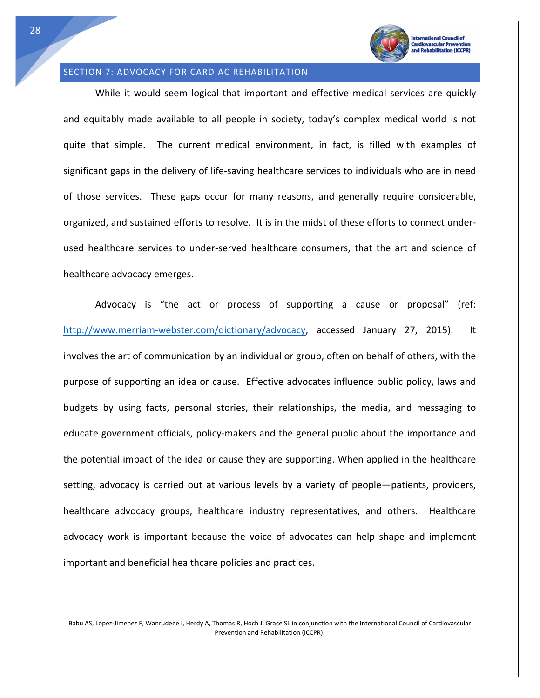

#### SECTION 7: ADVOCACY FOR CARDIAC REHABILITATION

While it would seem logical that important and effective medical services are quickly and equitably made available to all people in society, today's complex medical world is not quite that simple. The current medical environment, in fact, is filled with examples of significant gaps in the delivery of life‐saving healthcare services to individuals who are in need of those services. These gaps occur for many reasons, and generally require considerable, organized, and sustained efforts to resolve. It is in the midst of these efforts to connect under‐ used healthcare services to under‐served healthcare consumers, that the art and science of healthcare advocacy emerges.

Advocacy is "the act or process of supporting a cause or proposal" (ref: http://www.merriam-webster.com/dictionary/advocacy, accessed January 27, 2015). It involves the art of communication by an individual or group, often on behalf of others, with the purpose of supporting an idea or cause. Effective advocates influence public policy, laws and budgets by using facts, personal stories, their relationships, the media, and messaging to educate government officials, policy-makers and the general public about the importance and the potential impact of the idea or cause they are supporting. When applied in the healthcare setting, advocacy is carried out at various levels by a variety of people—patients, providers, healthcare advocacy groups, healthcare industry representatives, and others. Healthcare advocacy work is important because the voice of advocates can help shape and implement important and beneficial healthcare policies and practices.

Babu AS, Lopez‐Jimenez F, Wanrudeee I, Herdy A, Thomas R, Hoch J, Grace SL in conjunction with the International Council of Cardiovascular Prevention and Rehabilitation (ICCPR).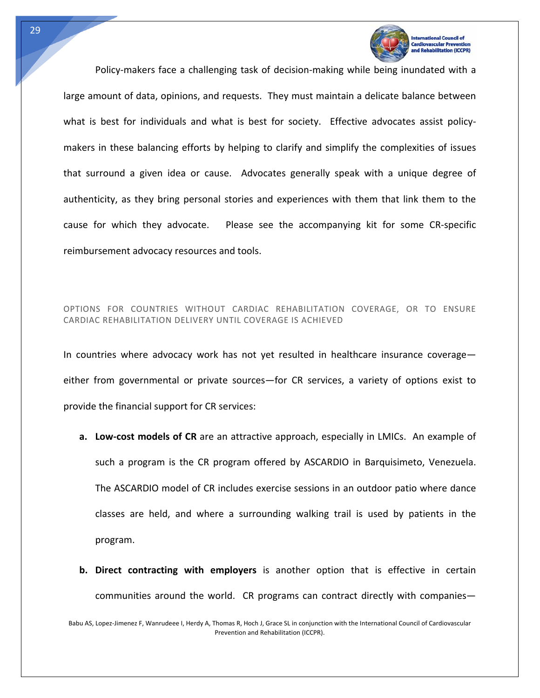

**Itation (ICCPR)** 

Policy‐makers face a challenging task of decision‐making while being inundated with a large amount of data, opinions, and requests. They must maintain a delicate balance between what is best for individuals and what is best for society. Effective advocates assist policymakers in these balancing efforts by helping to clarify and simplify the complexities of issues that surround a given idea or cause. Advocates generally speak with a unique degree of authenticity, as they bring personal stories and experiences with them that link them to the cause for which they advocate. Please see the accompanying kit for some CR‐specific reimbursement advocacy resources and tools.

#### OPTIONS FOR COUNTRIES WITHOUT CARDIAC REHABILITATION COVERAGE, OR TO ENSURE CARDIAC REHABILITATION DELIVERY UNTIL COVERAGE IS ACHIEVED

In countries where advocacy work has not yet resulted in healthcare insurance coverage either from governmental or private sources—for CR services, a variety of options exist to provide the financial support for CR services:

- **a. Low‐cost models of CR** are an attractive approach, especially in LMICs. An example of such a program is the CR program offered by ASCARDIO in Barquisimeto, Venezuela. The ASCARDIO model of CR includes exercise sessions in an outdoor patio where dance classes are held, and where a surrounding walking trail is used by patients in the program.
- **b. Direct contracting with employers** is another option that is effective in certain communities around the world. CR programs can contract directly with companies—

Babu AS, Lopez‐Jimenez F, Wanrudeee I, Herdy A, Thomas R, Hoch J, Grace SL in conjunction with the International Council of Cardiovascular Prevention and Rehabilitation (ICCPR).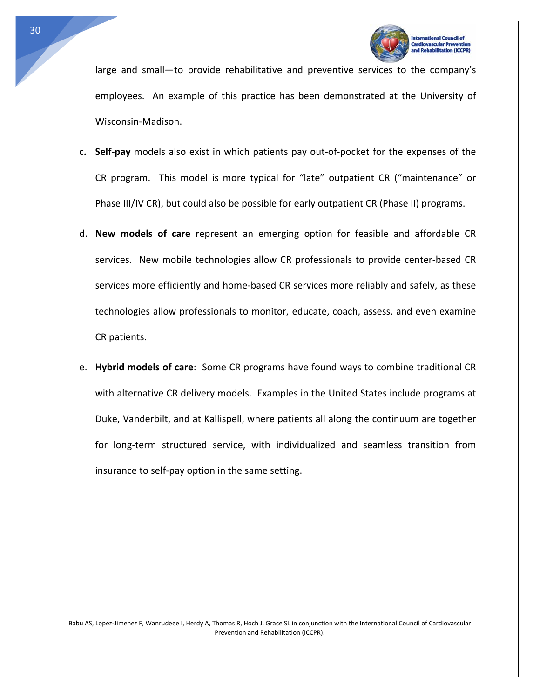

**In (ICCPR)** 

large and small—to provide rehabilitative and preventive services to the company's employees. An example of this practice has been demonstrated at the University of Wisconsin‐Madison.

- **c. Self‐pay** models also exist in which patients pay out‐of‐pocket for the expenses of the CR program. This model is more typical for "late" outpatient CR ("maintenance" or Phase III/IV CR), but could also be possible for early outpatient CR (Phase II) programs.
- d. **New models of care** represent an emerging option for feasible and affordable CR services. New mobile technologies allow CR professionals to provide center-based CR services more efficiently and home-based CR services more reliably and safely, as these technologies allow professionals to monitor, educate, coach, assess, and even examine CR patients.
- e. **Hybrid models of care**: Some CR programs have found ways to combine traditional CR with alternative CR delivery models. Examples in the United States include programs at Duke, Vanderbilt, and at Kallispell, where patients all along the continuum are together for long-term structured service, with individualized and seamless transition from insurance to self‐pay option in the same setting.

Babu AS, Lopez‐Jimenez F, Wanrudeee I, Herdy A, Thomas R, Hoch J, Grace SL in conjunction with the International Council of Cardiovascular Prevention and Rehabilitation (ICCPR).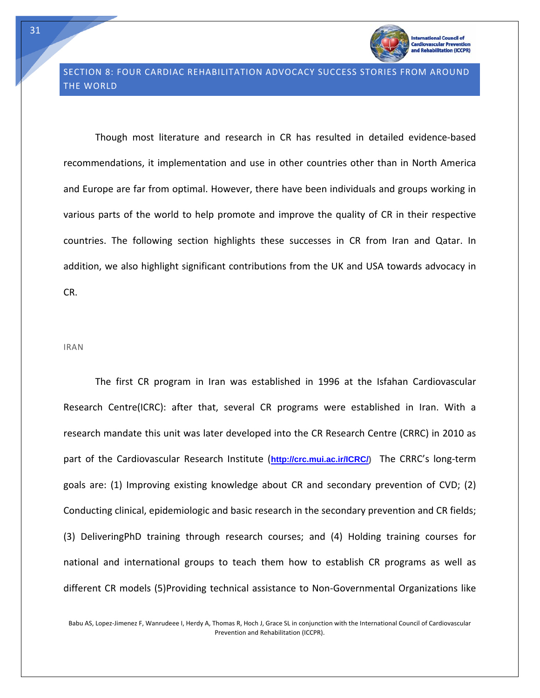

abilitation (ICCPR)

Though most literature and research in CR has resulted in detailed evidence‐based recommendations, it implementation and use in other countries other than in North America and Europe are far from optimal. However, there have been individuals and groups working in various parts of the world to help promote and improve the quality of CR in their respective countries. The following section highlights these successes in CR from Iran and Qatar. In addition, we also highlight significant contributions from the UK and USA towards advocacy in CR.

#### IRAN

The first CR program in Iran was established in 1996 at the Isfahan Cardiovascular Research Centre(ICRC): after that, several CR programs were established in Iran. With a research mandate this unit was later developed into the CR Research Centre (CRRC) in 2010 as part of the Cardiovascular Research Institute (**http://crc.mui.ac.ir/ICRC/)** The CRRC's long‐term goals are: (1) Improving existing knowledge about CR and secondary prevention of CVD; (2) Conducting clinical, epidemiologic and basic research in the secondary prevention and CR fields; (3) DeliveringPhD training through research courses; and (4) Holding training courses for national and international groups to teach them how to establish CR programs as well as different CR models (5)Providing technical assistance to Non‐Governmental Organizations like

Babu AS, Lopez‐Jimenez F, Wanrudeee I, Herdy A, Thomas R, Hoch J, Grace SL in conjunction with the International Council of Cardiovascular Prevention and Rehabilitation (ICCPR).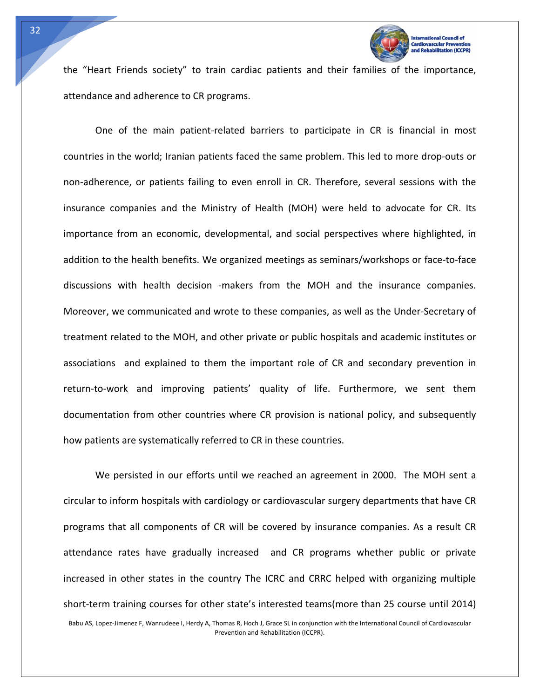

the "Heart Friends society" to train cardiac patients and their families of the importance, attendance and adherence to CR programs.

One of the main patient‐related barriers to participate in CR is financial in most countries in the world; Iranian patients faced the same problem. This led to more drop‐outs or non-adherence, or patients failing to even enroll in CR. Therefore, several sessions with the insurance companies and the Ministry of Health (MOH) were held to advocate for CR. Its importance from an economic, developmental, and social perspectives where highlighted, in addition to the health benefits. We organized meetings as seminars/workshops or face‐to‐face discussions with health decision -makers from the MOH and the insurance companies. Moreover, we communicated and wrote to these companies, as well as the Under‐Secretary of treatment related to the MOH, and other private or public hospitals and academic institutes or associations and explained to them the important role of CR and secondary prevention in return-to-work and improving patients' quality of life. Furthermore, we sent them documentation from other countries where CR provision is national policy, and subsequently how patients are systematically referred to CR in these countries.

Babu AS, Lopez‐Jimenez F, Wanrudeee I, Herdy A, Thomas R, Hoch J, Grace SL in conjunction with the International Council of Cardiovascular We persisted in our efforts until we reached an agreement in 2000. The MOH sent a circular to inform hospitals with cardiology or cardiovascular surgery departments that have CR programs that all components of CR will be covered by insurance companies. As a result CR attendance rates have gradually increased and CR programs whether public or private increased in other states in the country The ICRC and CRRC helped with organizing multiple short‐term training courses for other state's interested teams(more than 25 course until 2014)

32

Tech

Prevention and Rehabilitation (ICCPR).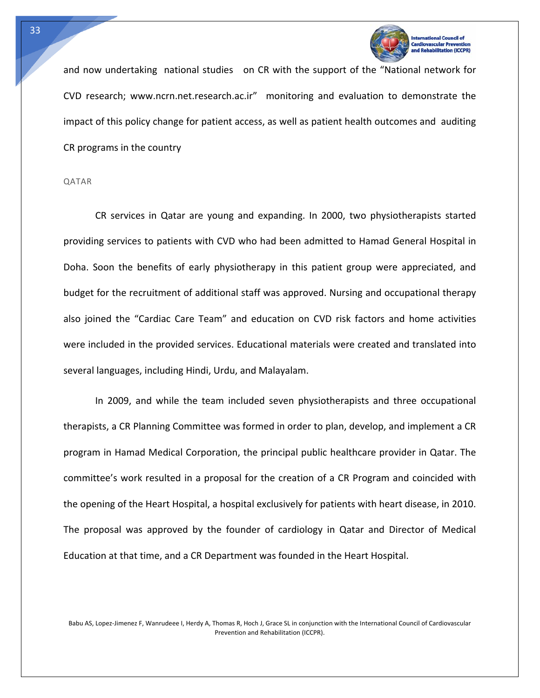

on (ICCPR)

and now undertaking national studies on CR with the support of the "National network for CVD research; www.ncrn.net.research.ac.ir" monitoring and evaluation to demonstrate the impact of this policy change for patient access, as well as patient health outcomes and auditing CR programs in the country

#### QATAR

Tech

CR services in Qatar are young and expanding. In 2000, two physiotherapists started providing services to patients with CVD who had been admitted to Hamad General Hospital in Doha. Soon the benefits of early physiotherapy in this patient group were appreciated, and budget for the recruitment of additional staff was approved. Nursing and occupational therapy also joined the "Cardiac Care Team" and education on CVD risk factors and home activities were included in the provided services. Educational materials were created and translated into several languages, including Hindi, Urdu, and Malayalam.

In 2009, and while the team included seven physiotherapists and three occupational therapists, a CR Planning Committee was formed in order to plan, develop, and implement a CR program in Hamad Medical Corporation, the principal public healthcare provider in Qatar. The committee's work resulted in a proposal for the creation of a CR Program and coincided with the opening of the Heart Hospital, a hospital exclusively for patients with heart disease, in 2010. The proposal was approved by the founder of cardiology in Qatar and Director of Medical Education at that time, and a CR Department was founded in the Heart Hospital.

Babu AS, Lopez‐Jimenez F, Wanrudeee I, Herdy A, Thomas R, Hoch J, Grace SL in conjunction with the International Council of Cardiovascular Prevention and Rehabilitation (ICCPR).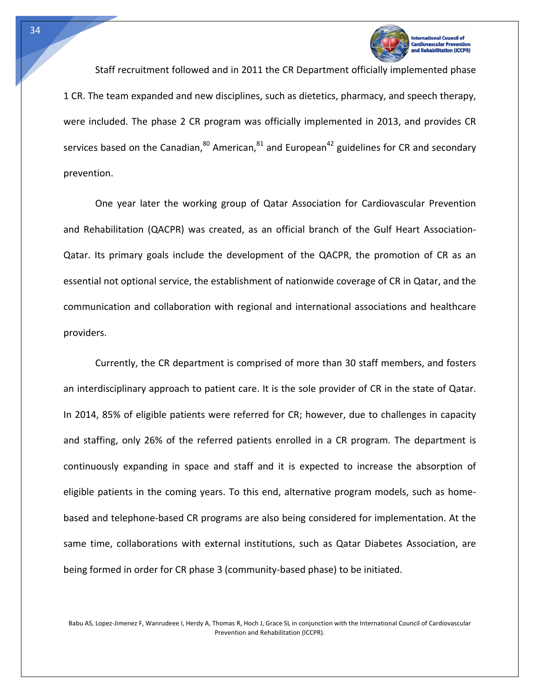

Staff recruitment followed and in 2011 the CR Department officially implemented phase 1 CR. The team expanded and new disciplines, such as dietetics, pharmacy, and speech therapy, were included. The phase 2 CR program was officially implemented in 2013, and provides CR services based on the Canadian, $^{80}$  American, $^{81}$  and European<sup>42</sup> guidelines for CR and secondary prevention.

One year later the working group of Qatar Association for Cardiovascular Prevention and Rehabilitation (QACPR) was created, as an official branch of the Gulf Heart Association‐ Qatar. Its primary goals include the development of the QACPR, the promotion of CR as an essential not optional service, the establishment of nationwide coverage of CR in Qatar, and the communication and collaboration with regional and international associations and healthcare providers.

Currently, the CR department is comprised of more than 30 staff members, and fosters an interdisciplinary approach to patient care. It is the sole provider of CR in the state of Qatar. In 2014, 85% of eligible patients were referred for CR; however, due to challenges in capacity and staffing, only 26% of the referred patients enrolled in a CR program. The department is continuously expanding in space and staff and it is expected to increase the absorption of eligible patients in the coming years. To this end, alternative program models, such as home‐ based and telephone‐based CR programs are also being considered for implementation. At the same time, collaborations with external institutions, such as Qatar Diabetes Association, are being formed in order for CR phase 3 (community‐based phase) to be initiated.

Babu AS, Lopez‐Jimenez F, Wanrudeee I, Herdy A, Thomas R, Hoch J, Grace SL in conjunction with the International Council of Cardiovascular Prevention and Rehabilitation (ICCPR).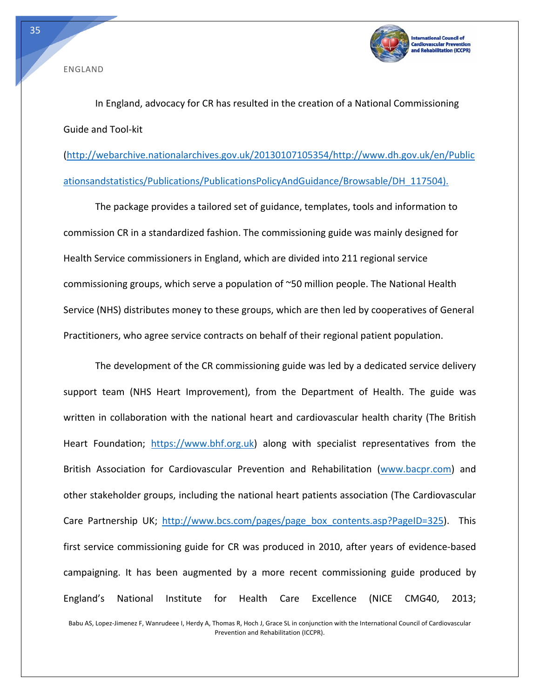

ENGLAND

Tech

In England, advocacy for CR has resulted in the creation of a National Commissioning Guide and Tool‐kit

(http://webarchive.nationalarchives.gov.uk/20130107105354/http://www.dh.gov.uk/en/Public ationsandstatistics/Publications/PublicationsPolicyAndGuidance/Browsable/DH\_117504).

The package provides a tailored set of guidance, templates, tools and information to commission CR in a standardized fashion. The commissioning guide was mainly designed for Health Service commissioners in England, which are divided into 211 regional service commissioning groups, which serve a population of ~50 million people. The National Health Service (NHS) distributes money to these groups, which are then led by cooperatives of General Practitioners, who agree service contracts on behalf of their regional patient population.

The development of the CR commissioning guide was led by a dedicated service delivery support team (NHS Heart Improvement), from the Department of Health. The guide was written in collaboration with the national heart and cardiovascular health charity (The British Heart Foundation; https://www.bhf.org.uk) along with specialist representatives from the British Association for Cardiovascular Prevention and Rehabilitation (www.bacpr.com) and other stakeholder groups, including the national heart patients association (The Cardiovascular Care Partnership UK; http://www.bcs.com/pages/page\_box\_contents.asp?PageID=325). This first service commissioning guide for CR was produced in 2010, after years of evidence‐based campaigning. It has been augmented by a more recent commissioning guide produced by England's National Institute for Health Care Excellence (NICE CMG40, 2013;

Babu AS, Lopez‐Jimenez F, Wanrudeee I, Herdy A, Thomas R, Hoch J, Grace SL in conjunction with the International Council of Cardiovascular Prevention and Rehabilitation (ICCPR).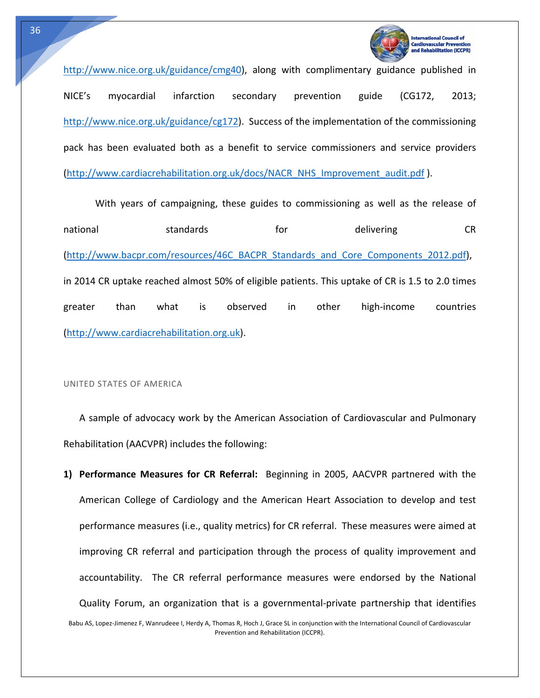

litation (ICCPR)

http://www.nice.org.uk/guidance/cmg40), along with complimentary guidance published in NICE's myocardial infarction secondary prevention guide (CG172, 2013; http://www.nice.org.uk/guidance/cg172). Success of the implementation of the commissioning pack has been evaluated both as a benefit to service commissioners and service providers (http://www.cardiacrehabilitation.org.uk/docs/NACR\_NHS\_Improvement\_audit.pdf ).

With years of campaigning, these guides to commissioning as well as the release of national standards for delivering CR (http://www.bacpr.com/resources/46C\_BACPR\_Standards\_and\_Core\_Components\_2012.pdf), in 2014 CR uptake reached almost 50% of eligible patients. This uptake of CR is 1.5 to 2.0 times greater than what is observed in other high‐income countries (http://www.cardiacrehabilitation.org.uk).

UNITED STATES OF AMERICA

A sample of advocacy work by the American Association of Cardiovascular and Pulmonary Rehabilitation (AACVPR) includes the following:

Babu AS, Lopez‐Jimenez F, Wanrudeee I, Herdy A, Thomas R, Hoch J, Grace SL in conjunction with the International Council of Cardiovascular Prevention and Rehabilitation (ICCPR). **1) Performance Measures for CR Referral:**  Beginning in 2005, AACVPR partnered with the American College of Cardiology and the American Heart Association to develop and test performance measures (i.e., quality metrics) for CR referral. These measures were aimed at improving CR referral and participation through the process of quality improvement and accountability. The CR referral performance measures were endorsed by the National Quality Forum, an organization that is a governmental‐private partnership that identifies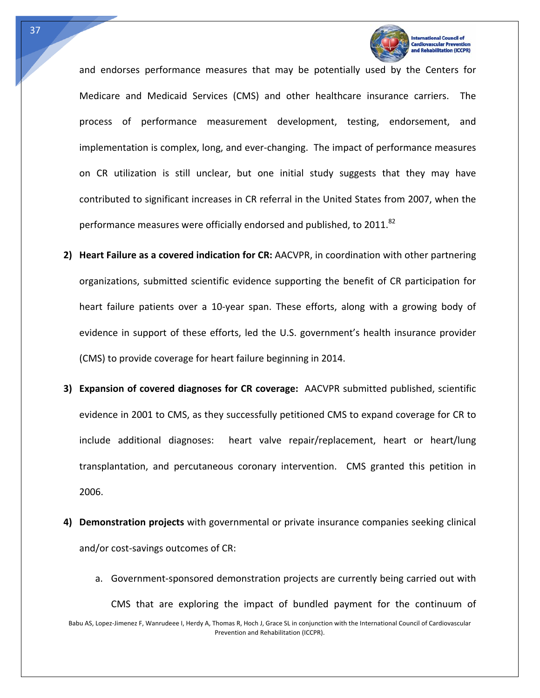

**Itation (ICCPR)** 

and endorses performance measures that may be potentially used by the Centers for Medicare and Medicaid Services (CMS) and other healthcare insurance carriers. The process of performance measurement development, testing, endorsement, and implementation is complex, long, and ever‐changing. The impact of performance measures on CR utilization is still unclear, but one initial study suggests that they may have contributed to significant increases in CR referral in the United States from 2007, when the performance measures were officially endorsed and published, to 2011.<sup>82</sup>

- **2) Heart Failure as a covered indication for CR:** AACVPR, in coordination with other partnering organizations, submitted scientific evidence supporting the benefit of CR participation for heart failure patients over a 10‐year span. These efforts, along with a growing body of evidence in support of these efforts, led the U.S. government's health insurance provider (CMS) to provide coverage for heart failure beginning in 2014.
- **3) Expansion of covered diagnoses for CR coverage:** AACVPR submitted published, scientific evidence in 2001 to CMS, as they successfully petitioned CMS to expand coverage for CR to include additional diagnoses: heart valve repair/replacement, heart or heart/lung transplantation, and percutaneous coronary intervention. CMS granted this petition in 2006.
- **4) Demonstration projects** with governmental or private insurance companies seeking clinical and/or cost‐savings outcomes of CR:
- Babu AS, Lopez‐Jimenez F, Wanrudeee I, Herdy A, Thomas R, Hoch J, Grace SL in conjunction with the International Council of Cardiovascular Prevention and Rehabilitation (ICCPR). a. Government‐sponsored demonstration projects are currently being carried out with CMS that are exploring the impact of bundled payment for the continuum of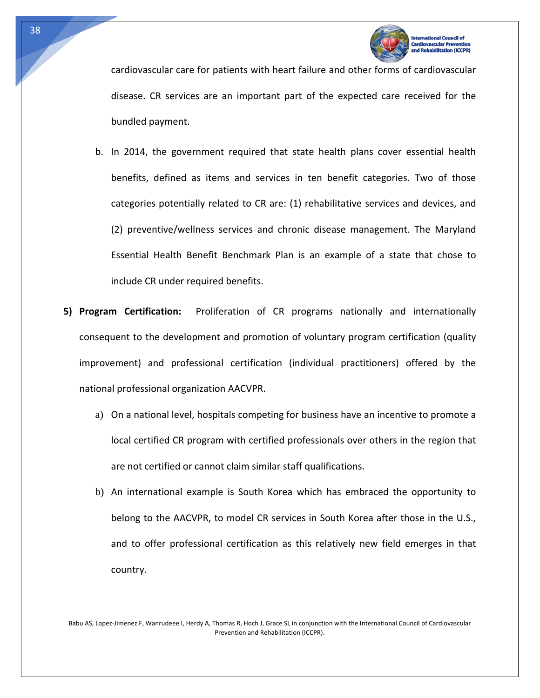

tion (ICCPR)

cardiovascular care for patients with heart failure and other forms of cardiovascular disease. CR services are an important part of the expected care received for the bundled payment.

- b. In 2014, the government required that state health plans cover essential health benefits, defined as items and services in ten benefit categories. Two of those categories potentially related to CR are: (1) rehabilitative services and devices, and (2) preventive/wellness services and chronic disease management. The Maryland Essential Health Benefit Benchmark Plan is an example of a state that chose to include CR under required benefits.
- **5) Program Certification:** Proliferation of CR programs nationally and internationally consequent to the development and promotion of voluntary program certification (quality improvement) and professional certification (individual practitioners) offered by the national professional organization AACVPR.
	- a) On a national level, hospitals competing for business have an incentive to promote a local certified CR program with certified professionals over others in the region that are not certified or cannot claim similar staff qualifications.
	- b) An international example is South Korea which has embraced the opportunity to belong to the AACVPR, to model CR services in South Korea after those in the U.S., and to offer professional certification as this relatively new field emerges in that country.

Babu AS, Lopez‐Jimenez F, Wanrudeee I, Herdy A, Thomas R, Hoch J, Grace SL in conjunction with the International Council of Cardiovascular Prevention and Rehabilitation (ICCPR).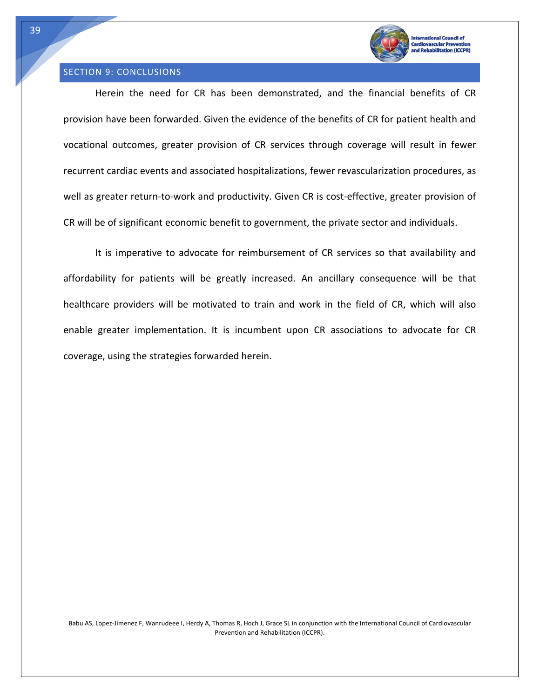

## SECTION 9: CONCLUSIONS

Herein the need for CR has been demonstrated, and the financial benefits of CR provision have been forwarded. Given the evidence of the benefits of CR for patient health and vocational outcomes, greater provision of CR services through coverage will result in fewer recurrent cardiac events and associated hospitalizations, fewer revascularization procedures, as well as greater return-to-work and productivity. Given CR is cost-effective, greater provision of CR will be of significant economic benefit to government, the private sector and individuals.

It is imperative to advocate for reimbursement of CR services so that availability and affordability for patients will be greatly increased. An ancillary consequence will be that healthcare providers will be motivated to train and work in the field of CR, which will also enable greater implementation. It is incumbent upon CR associations to advocate for CR coverage, using the strategies forwarded herein.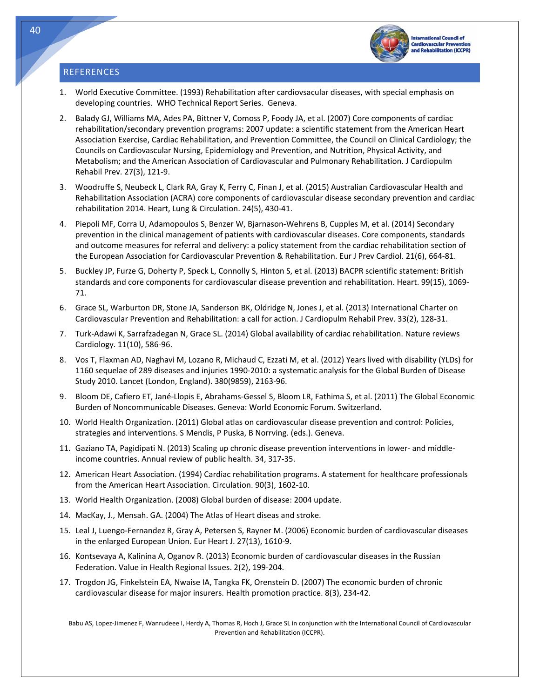#### **REFERENCES**

Tech



**International Council of Cardiovascular Preven** bilitation (ICCPR)

- 1. World Executive Committee. (1993) Rehabilitation after cardiovsacular diseases, with special emphasis on developing countries. WHO Technical Report Series. Geneva.
- 2. Balady GJ, Williams MA, Ades PA, Bittner V, Comoss P, Foody JA, et al. (2007) Core components of cardiac rehabilitation/secondary prevention programs: 2007 update: a scientific statement from the American Heart Association Exercise, Cardiac Rehabilitation, and Prevention Committee, the Council on Clinical Cardiology; the Councils on Cardiovascular Nursing, Epidemiology and Prevention, and Nutrition, Physical Activity, and Metabolism; and the American Association of Cardiovascular and Pulmonary Rehabilitation. J Cardiopulm Rehabil Prev. 27(3), 121‐9.
- 3. Woodruffe S, Neubeck L, Clark RA, Gray K, Ferry C, Finan J, et al. (2015) Australian Cardiovascular Health and Rehabilitation Association (ACRA) core components of cardiovascular disease secondary prevention and cardiac rehabilitation 2014. Heart, Lung & Circulation. 24(5), 430‐41.
- 4. Piepoli MF, Corra U, Adamopoulos S, Benzer W, Bjarnason‐Wehrens B, Cupples M, et al. (2014) Secondary prevention in the clinical management of patients with cardiovascular diseases. Core components, standards and outcome measures for referral and delivery: a policy statement from the cardiac rehabilitation section of the European Association for Cardiovascular Prevention & Rehabilitation. Eur J Prev Cardiol. 21(6), 664‐81.
- 5. Buckley JP, Furze G, Doherty P, Speck L, Connolly S, Hinton S, et al. (2013) BACPR scientific statement: British standards and core components for cardiovascular disease prevention and rehabilitation. Heart. 99(15), 1069‐ 71.
- 6. Grace SL, Warburton DR, Stone JA, Sanderson BK, Oldridge N, Jones J, et al. (2013) International Charter on Cardiovascular Prevention and Rehabilitation: a call for action. J Cardiopulm Rehabil Prev. 33(2), 128‐31.
- 7. Turk‐Adawi K, Sarrafzadegan N, Grace SL. (2014) Global availability of cardiac rehabilitation. Nature reviews Cardiology. 11(10), 586‐96.
- 8. Vos T, Flaxman AD, Naghavi M, Lozano R, Michaud C, Ezzati M, et al. (2012) Years lived with disability (YLDs) for 1160 sequelae of 289 diseases and injuries 1990‐2010: a systematic analysis for the Global Burden of Disease Study 2010. Lancet (London, England). 380(9859), 2163‐96.
- 9. Bloom DE, Cafiero ET, Jané‐Llopis E, Abrahams‐Gessel S, Bloom LR, Fathima S, et al. (2011) The Global Economic Burden of Noncommunicable Diseases. Geneva: World Economic Forum. Switzerland.
- 10. World Health Organization. (2011) Global atlas on cardiovascular disease prevention and control: Policies, strategies and interventions. S Mendis, P Puska, B Norrving. (eds.). Geneva.
- 11. Gaziano TA, Pagidipati N. (2013) Scaling up chronic disease prevention interventions in lower‐ and middle‐ income countries. Annual review of public health. 34, 317‐35.
- 12. American Heart Association. (1994) Cardiac rehabilitation programs. A statement for healthcare professionals from the American Heart Association. Circulation. 90(3), 1602‐10.
- 13. World Health Organization. (2008) Global burden of disease: 2004 update.
- 14. MacKay, J., Mensah. GA. (2004) The Atlas of Heart diseas and stroke.
- 15. Leal J, Luengo‐Fernandez R, Gray A, Petersen S, Rayner M. (2006) Economic burden of cardiovascular diseases in the enlarged European Union. Eur Heart J. 27(13), 1610‐9.
- 16. Kontsevaya A, Kalinina A, Oganov R. (2013) Economic burden of cardiovascular diseases in the Russian Federation. Value in Health Regional Issues. 2(2), 199‐204.
- 17. Trogdon JG, Finkelstein EA, Nwaise IA, Tangka FK, Orenstein D. (2007) The economic burden of chronic cardiovascular disease for major insurers. Health promotion practice. 8(3), 234‐42.

Babu AS, Lopez‐Jimenez F, Wanrudeee I, Herdy A, Thomas R, Hoch J, Grace SL in conjunction with the International Council of Cardiovascular Prevention and Rehabilitation (ICCPR).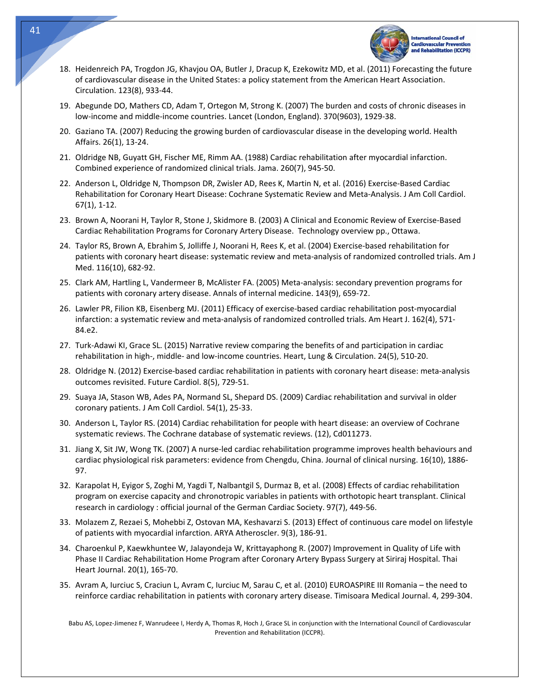

- 18. Heidenreich PA, Trogdon JG, Khavjou OA, Butler J, Dracup K, Ezekowitz MD, et al. (2011) Forecasting the future of cardiovascular disease in the United States: a policy statement from the American Heart Association. Circulation. 123(8), 933‐44.
- 19. Abegunde DO, Mathers CD, Adam T, Ortegon M, Strong K. (2007) The burden and costs of chronic diseases in low‐income and middle‐income countries. Lancet (London, England). 370(9603), 1929‐38.
- 20. Gaziano TA. (2007) Reducing the growing burden of cardiovascular disease in the developing world. Health Affairs. 26(1), 13‐24.
- 21. Oldridge NB, Guyatt GH, Fischer ME, Rimm AA. (1988) Cardiac rehabilitation after myocardial infarction. Combined experience of randomized clinical trials. Jama. 260(7), 945‐50.
- 22. Anderson L, Oldridge N, Thompson DR, Zwisler AD, Rees K, Martin N, et al. (2016) Exercise‐Based Cardiac Rehabilitation for Coronary Heart Disease: Cochrane Systematic Review and Meta‐Analysis. J Am Coll Cardiol. 67(1), 1‐12.
- 23. Brown A, Noorani H, Taylor R, Stone J, Skidmore B. (2003) A Clinical and Economic Review of Exercise‐Based Cardiac Rehabilitation Programs for Coronary Artery Disease. Technology overview pp., Ottawa.
- 24. Taylor RS, Brown A, Ebrahim S, Jolliffe J, Noorani H, Rees K, et al. (2004) Exercise-based rehabilitation for patients with coronary heart disease: systematic review and meta‐analysis of randomized controlled trials. Am J Med. 116(10), 682‐92.
- 25. Clark AM, Hartling L, Vandermeer B, McAlister FA. (2005) Meta‐analysis: secondary prevention programs for patients with coronary artery disease. Annals of internal medicine. 143(9), 659‐72.
- 26. Lawler PR, Filion KB, Eisenberg MJ. (2011) Efficacy of exercise‐based cardiac rehabilitation post‐myocardial infarction: a systematic review and meta-analysis of randomized controlled trials. Am Heart J. 162(4), 571-84.e2.
- 27. Turk‐Adawi KI, Grace SL. (2015) Narrative review comparing the benefits of and participation in cardiac rehabilitation in high‐, middle‐ and low‐income countries. Heart, Lung & Circulation. 24(5), 510‐20.
- 28. Oldridge N. (2012) Exercise‐based cardiac rehabilitation in patients with coronary heart disease: meta‐analysis outcomes revisited. Future Cardiol. 8(5), 729‐51.
- 29. Suaya JA, Stason WB, Ades PA, Normand SL, Shepard DS. (2009) Cardiac rehabilitation and survival in older coronary patients. J Am Coll Cardiol. 54(1), 25‐33.
- 30. Anderson L, Taylor RS. (2014) Cardiac rehabilitation for people with heart disease: an overview of Cochrane systematic reviews. The Cochrane database of systematic reviews. (12), Cd011273.
- 31. Jiang X, Sit JW, Wong TK. (2007) A nurse-led cardiac rehabilitation programme improves health behaviours and cardiac physiological risk parameters: evidence from Chengdu, China. Journal of clinical nursing. 16(10), 1886‐ 97.
- 32. Karapolat H, Eyigor S, Zoghi M, Yagdi T, Nalbantgil S, Durmaz B, et al. (2008) Effects of cardiac rehabilitation program on exercise capacity and chronotropic variables in patients with orthotopic heart transplant. Clinical research in cardiology : official journal of the German Cardiac Society. 97(7), 449‐56.
- 33. Molazem Z, Rezaei S, Mohebbi Z, Ostovan MA, Keshavarzi S. (2013) Effect of continuous care model on lifestyle of patients with myocardial infarction. ARYA Atheroscler. 9(3), 186‐91.
- 34. Charoenkul P, Kaewkhuntee W, Jalayondeja W, Krittayaphong R. (2007) Improvement in Quality of Life with Phase II Cardiac Rehabilitation Home Program after Coronary Artery Bypass Surgery at Siriraj Hospital. Thai Heart Journal. 20(1), 165‐70.
- 35. Avram A, Iurciuc S, Craciun L, Avram C, Iurciuc M, Sarau C, et al. (2010) EUROASPIRE III Romania the need to reinforce cardiac rehabilitation in patients with coronary artery disease. Timisoara Medical Journal. 4, 299‐304.

Babu AS, Lopez‐Jimenez F, Wanrudeee I, Herdy A, Thomas R, Hoch J, Grace SL in conjunction with the International Council of Cardiovascular Prevention and Rehabilitation (ICCPR).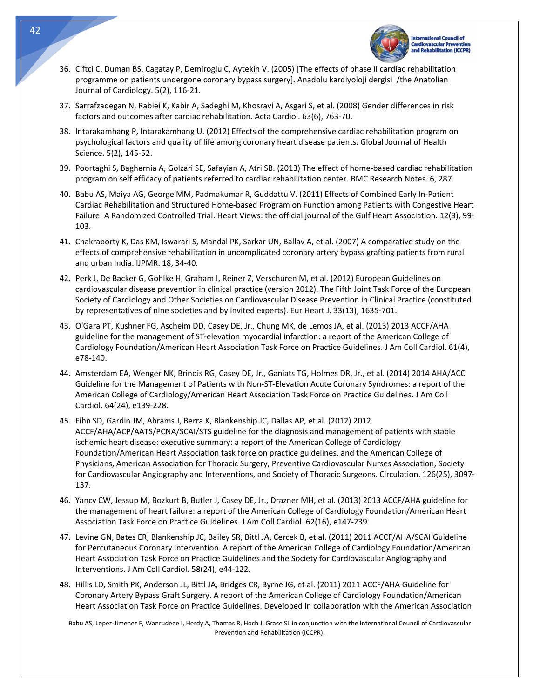

- 36. Ciftci C, Duman BS, Cagatay P, Demiroglu C, Aytekin V. (2005) [The effects of phase II cardiac rehabilitation programme on patients undergone coronary bypass surgery]. Anadolu kardiyoloji dergisi /the Anatolian Journal of Cardiology. 5(2), 116‐21.
- 37. Sarrafzadegan N, Rabiei K, Kabir A, Sadeghi M, Khosravi A, Asgari S, et al. (2008) Gender differences in risk factors and outcomes after cardiac rehabilitation. Acta Cardiol. 63(6), 763‐70.
- 38. Intarakamhang P, Intarakamhang U. (2012) Effects of the comprehensive cardiac rehabilitation program on psychological factors and quality of life among coronary heart disease patients. Global Journal of Health Science. 5(2), 145‐52.
- 39. Poortaghi S, Baghernia A, Golzari SE, Safayian A, Atri SB. (2013) The effect of home‐based cardiac rehabilitation program on self efficacy of patients referred to cardiac rehabilitation center. BMC Research Notes. 6, 287.
- 40. Babu AS, Maiya AG, George MM, Padmakumar R, Guddattu V. (2011) Effects of Combined Early In‐Patient Cardiac Rehabilitation and Structured Home‐based Program on Function among Patients with Congestive Heart Failure: A Randomized Controlled Trial. Heart Views: the official journal of the Gulf Heart Association. 12(3), 99‐ 103.
- 41. Chakraborty K, Das KM, Iswarari S, Mandal PK, Sarkar UN, Ballav A, et al. (2007) A comparative study on the effects of comprehensive rehabilitation in uncomplicated coronary artery bypass grafting patients from rural and urban India. IJPMR. 18, 34‐40.
- 42. Perk J, De Backer G, Gohlke H, Graham I, Reiner Z, Verschuren M, et al. (2012) European Guidelines on cardiovascular disease prevention in clinical practice (version 2012). The Fifth Joint Task Force of the European Society of Cardiology and Other Societies on Cardiovascular Disease Prevention in Clinical Practice (constituted by representatives of nine societies and by invited experts). Eur Heart J. 33(13), 1635‐701.
- 43. O'Gara PT, Kushner FG, Ascheim DD, Casey DE, Jr., Chung MK, de Lemos JA, et al. (2013) 2013 ACCF/AHA guideline for the management of ST‐elevation myocardial infarction: a report of the American College of Cardiology Foundation/American Heart Association Task Force on Practice Guidelines. J Am Coll Cardiol. 61(4), e78‐140.
- 44. Amsterdam EA, Wenger NK, Brindis RG, Casey DE, Jr., Ganiats TG, Holmes DR, Jr., et al. (2014) 2014 AHA/ACC Guideline for the Management of Patients with Non‐ST‐Elevation Acute Coronary Syndromes: a report of the American College of Cardiology/American Heart Association Task Force on Practice Guidelines. J Am Coll Cardiol. 64(24), e139‐228.
- 45. Fihn SD, Gardin JM, Abrams J, Berra K, Blankenship JC, Dallas AP, et al. (2012) 2012 ACCF/AHA/ACP/AATS/PCNA/SCAI/STS guideline for the diagnosis and management of patients with stable ischemic heart disease: executive summary: a report of the American College of Cardiology Foundation/American Heart Association task force on practice guidelines, and the American College of Physicians, American Association for Thoracic Surgery, Preventive Cardiovascular Nurses Association, Society for Cardiovascular Angiography and Interventions, and Society of Thoracic Surgeons. Circulation. 126(25), 3097‐ 137.
- 46. Yancy CW, Jessup M, Bozkurt B, Butler J, Casey DE, Jr., Drazner MH, et al. (2013) 2013 ACCF/AHA guideline for the management of heart failure: a report of the American College of Cardiology Foundation/American Heart Association Task Force on Practice Guidelines. J Am Coll Cardiol. 62(16), e147‐239.
- 47. Levine GN, Bates ER, Blankenship JC, Bailey SR, Bittl JA, Cercek B, et al. (2011) 2011 ACCF/AHA/SCAI Guideline for Percutaneous Coronary Intervention. A report of the American College of Cardiology Foundation/American Heart Association Task Force on Practice Guidelines and the Society for Cardiovascular Angiography and Interventions. J Am Coll Cardiol. 58(24), e44‐122.
- 48. Hillis LD, Smith PK, Anderson JL, Bittl JA, Bridges CR, Byrne JG, et al. (2011) 2011 ACCF/AHA Guideline for Coronary Artery Bypass Graft Surgery. A report of the American College of Cardiology Foundation/American Heart Association Task Force on Practice Guidelines. Developed in collaboration with the American Association

Babu AS, Lopez‐Jimenez F, Wanrudeee I, Herdy A, Thomas R, Hoch J, Grace SL in conjunction with the International Council of Cardiovascular Prevention and Rehabilitation (ICCPR).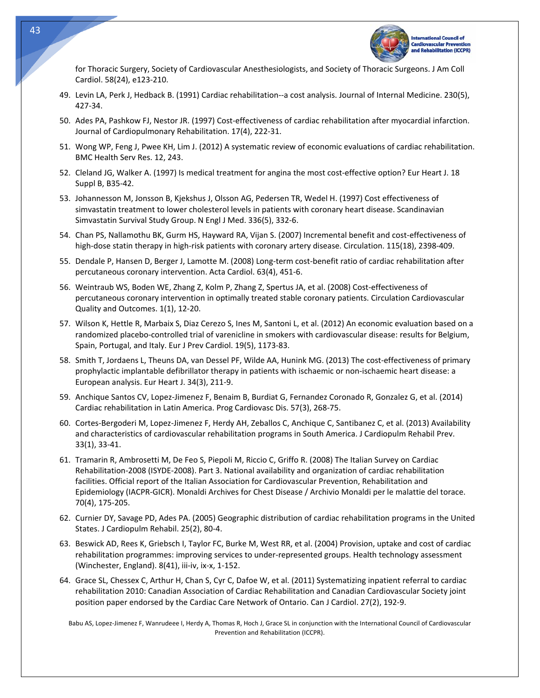

for Thoracic Surgery, Society of Cardiovascular Anesthesiologists, and Society of Thoracic Surgeons. J Am Coll Cardiol. 58(24), e123‐210.

- 49. Levin LA, Perk J, Hedback B. (1991) Cardiac rehabilitation‐‐a cost analysis. Journal of Internal Medicine. 230(5), 427‐34.
- 50. Ades PA, Pashkow FJ, Nestor JR. (1997) Cost-effectiveness of cardiac rehabilitation after myocardial infarction. Journal of Cardiopulmonary Rehabilitation. 17(4), 222‐31.
- 51. Wong WP, Feng J, Pwee KH, Lim J. (2012) A systematic review of economic evaluations of cardiac rehabilitation. BMC Health Serv Res. 12, 243.
- 52. Cleland JG, Walker A. (1997) Is medical treatment for angina the most cost-effective option? Eur Heart J. 18 Suppl B, B35‐42.
- 53. Johannesson M, Jonsson B, Kjekshus J, Olsson AG, Pedersen TR, Wedel H. (1997) Cost effectiveness of simvastatin treatment to lower cholesterol levels in patients with coronary heart disease. Scandinavian Simvastatin Survival Study Group. N Engl J Med. 336(5), 332‐6.
- 54. Chan PS, Nallamothu BK, Gurm HS, Hayward RA, Vijan S. (2007) Incremental benefit and cost‐effectiveness of high-dose statin therapy in high-risk patients with coronary artery disease. Circulation. 115(18), 2398-409.
- 55. Dendale P, Hansen D, Berger J, Lamotte M. (2008) Long-term cost-benefit ratio of cardiac rehabilitation after percutaneous coronary intervention. Acta Cardiol. 63(4), 451‐6.
- 56. Weintraub WS, Boden WE, Zhang Z, Kolm P, Zhang Z, Spertus JA, et al. (2008) Cost‐effectiveness of percutaneous coronary intervention in optimally treated stable coronary patients. Circulation Cardiovascular Quality and Outcomes. 1(1), 12‐20.
- 57. Wilson K, Hettle R, Marbaix S, Diaz Cerezo S, Ines M, Santoni L, et al. (2012) An economic evaluation based on a randomized placebo‐controlled trial of varenicline in smokers with cardiovascular disease: results for Belgium, Spain, Portugal, and Italy. Eur J Prev Cardiol. 19(5), 1173‐83.
- 58. Smith T, Jordaens L, Theuns DA, van Dessel PF, Wilde AA, Hunink MG. (2013) The cost-effectiveness of primary prophylactic implantable defibrillator therapy in patients with ischaemic or non‐ischaemic heart disease: a European analysis. Eur Heart J. 34(3), 211‐9.
- 59. Anchique Santos CV, Lopez‐Jimenez F, Benaim B, Burdiat G, Fernandez Coronado R, Gonzalez G, et al. (2014) Cardiac rehabilitation in Latin America. Prog Cardiovasc Dis. 57(3), 268‐75.
- 60. Cortes‐Bergoderi M, Lopez‐Jimenez F, Herdy AH, Zeballos C, Anchique C, Santibanez C, et al. (2013) Availability and characteristics of cardiovascular rehabilitation programs in South America. J Cardiopulm Rehabil Prev. 33(1), 33‐41.
- 61. Tramarin R, Ambrosetti M, De Feo S, Piepoli M, Riccio C, Griffo R. (2008) The Italian Survey on Cardiac Rehabilitation‐2008 (ISYDE‐2008). Part 3. National availability and organization of cardiac rehabilitation facilities. Official report of the Italian Association for Cardiovascular Prevention, Rehabilitation and Epidemiology (IACPR‐GICR). Monaldi Archives for Chest Disease / Archivio Monaldi per le malattie del torace. 70(4), 175‐205.
- 62. Curnier DY, Savage PD, Ades PA. (2005) Geographic distribution of cardiac rehabilitation programs in the United States. J Cardiopulm Rehabil. 25(2), 80‐4.
- 63. Beswick AD, Rees K, Griebsch I, Taylor FC, Burke M, West RR, et al. (2004) Provision, uptake and cost of cardiac rehabilitation programmes: improving services to under‐represented groups. Health technology assessment (Winchester, England). 8(41), iii‐iv, ix‐x, 1‐152.
- 64. Grace SL, Chessex C, Arthur H, Chan S, Cyr C, Dafoe W, et al. (2011) Systematizing inpatient referral to cardiac rehabilitation 2010: Canadian Association of Cardiac Rehabilitation and Canadian Cardiovascular Society joint position paper endorsed by the Cardiac Care Network of Ontario. Can J Cardiol. 27(2), 192‐9.

Babu AS, Lopez‐Jimenez F, Wanrudeee I, Herdy A, Thomas R, Hoch J, Grace SL in conjunction with the International Council of Cardiovascular Prevention and Rehabilitation (ICCPR).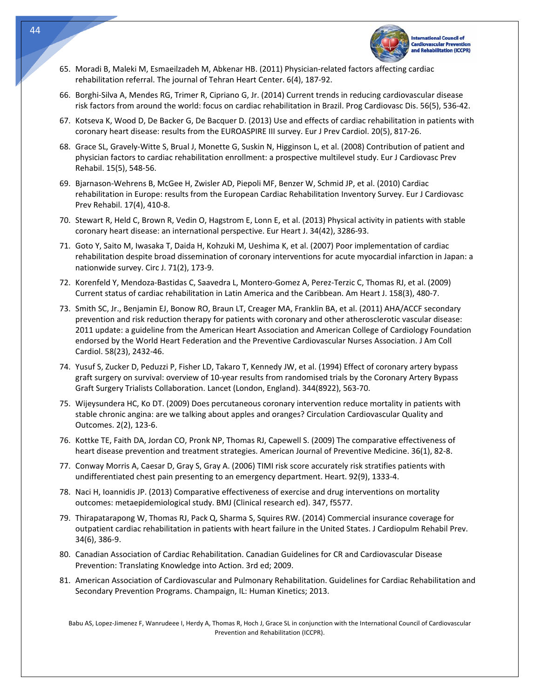

- 65. Moradi B, Maleki M, Esmaeilzadeh M, Abkenar HB. (2011) Physician‐related factors affecting cardiac rehabilitation referral. The journal of Tehran Heart Center. 6(4), 187‐92.
- 66. Borghi‐Silva A, Mendes RG, Trimer R, Cipriano G, Jr. (2014) Current trends in reducing cardiovascular disease risk factors from around the world: focus on cardiac rehabilitation in Brazil. Prog Cardiovasc Dis. 56(5), 536‐42.
- 67. Kotseva K, Wood D, De Backer G, De Bacquer D. (2013) Use and effects of cardiac rehabilitation in patients with coronary heart disease: results from the EUROASPIRE III survey. Eur J Prev Cardiol. 20(5), 817‐26.
- 68. Grace SL, Gravely‐Witte S, Brual J, Monette G, Suskin N, Higginson L, et al. (2008) Contribution of patient and physician factors to cardiac rehabilitation enrollment: a prospective multilevel study. Eur J Cardiovasc Prev Rehabil. 15(5), 548‐56.
- 69. Bjarnason‐Wehrens B, McGee H, Zwisler AD, Piepoli MF, Benzer W, Schmid JP, et al. (2010) Cardiac rehabilitation in Europe: results from the European Cardiac Rehabilitation Inventory Survey. Eur J Cardiovasc Prev Rehabil. 17(4), 410‐8.
- 70. Stewart R, Held C, Brown R, Vedin O, Hagstrom E, Lonn E, et al. (2013) Physical activity in patients with stable coronary heart disease: an international perspective. Eur Heart J. 34(42), 3286‐93.
- 71. Goto Y, Saito M, Iwasaka T, Daida H, Kohzuki M, Ueshima K, et al. (2007) Poor implementation of cardiac rehabilitation despite broad dissemination of coronary interventions for acute myocardial infarction in Japan: a nationwide survey. Circ J. 71(2), 173‐9.
- 72. Korenfeld Y, Mendoza‐Bastidas C, Saavedra L, Montero‐Gomez A, Perez‐Terzic C, Thomas RJ, et al. (2009) Current status of cardiac rehabilitation in Latin America and the Caribbean. Am Heart J. 158(3), 480‐7.
- 73. Smith SC, Jr., Benjamin EJ, Bonow RO, Braun LT, Creager MA, Franklin BA, et al. (2011) AHA/ACCF secondary prevention and risk reduction therapy for patients with coronary and other atherosclerotic vascular disease: 2011 update: a guideline from the American Heart Association and American College of Cardiology Foundation endorsed by the World Heart Federation and the Preventive Cardiovascular Nurses Association. J Am Coll Cardiol. 58(23), 2432‐46.
- 74. Yusuf S, Zucker D, Peduzzi P, Fisher LD, Takaro T, Kennedy JW, et al. (1994) Effect of coronary artery bypass graft surgery on survival: overview of 10‐year results from randomised trials by the Coronary Artery Bypass Graft Surgery Trialists Collaboration. Lancet (London, England). 344(8922), 563‐70.
- 75. Wijeysundera HC, Ko DT. (2009) Does percutaneous coronary intervention reduce mortality in patients with stable chronic angina: are we talking about apples and oranges? Circulation Cardiovascular Quality and Outcomes. 2(2), 123‐6.
- 76. Kottke TE, Faith DA, Jordan CO, Pronk NP, Thomas RJ, Capewell S. (2009) The comparative effectiveness of heart disease prevention and treatment strategies. American Journal of Preventive Medicine. 36(1), 82‐8.
- 77. Conway Morris A, Caesar D, Gray S, Gray A. (2006) TIMI risk score accurately risk stratifies patients with undifferentiated chest pain presenting to an emergency department. Heart. 92(9), 1333‐4.
- 78. Naci H, Ioannidis JP. (2013) Comparative effectiveness of exercise and drug interventions on mortality outcomes: metaepidemiological study. BMJ (Clinical research ed). 347, f5577.
- 79. Thirapatarapong W, Thomas RJ, Pack Q, Sharma S, Squires RW. (2014) Commercial insurance coverage for outpatient cardiac rehabilitation in patients with heart failure in the United States. J Cardiopulm Rehabil Prev. 34(6), 386‐9.
- 80. Canadian Association of Cardiac Rehabilitation. Canadian Guidelines for CR and Cardiovascular Disease Prevention: Translating Knowledge into Action. 3rd ed; 2009.
- 81. American Association of Cardiovascular and Pulmonary Rehabilitation. Guidelines for Cardiac Rehabilitation and Secondary Prevention Programs. Champaign, IL: Human Kinetics; 2013.

Babu AS, Lopez‐Jimenez F, Wanrudeee I, Herdy A, Thomas R, Hoch J, Grace SL in conjunction with the International Council of Cardiovascular Prevention and Rehabilitation (ICCPR).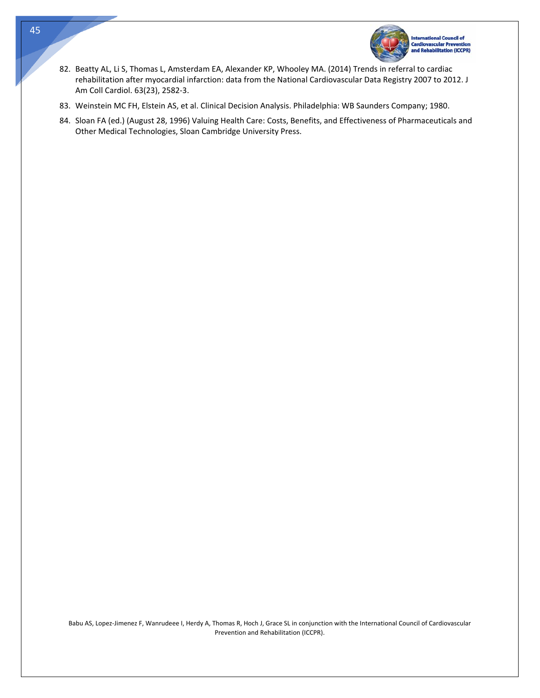

- 82. Beatty AL, Li S, Thomas L, Amsterdam EA, Alexander KP, Whooley MA. (2014) Trends in referral to cardiac rehabilitation after myocardial infarction: data from the National Cardiovascular Data Registry 2007 to 2012. J Am Coll Cardiol. 63(23), 2582‐3.
- 83. Weinstein MC FH, Elstein AS, et al. Clinical Decision Analysis. Philadelphia: WB Saunders Company; 1980.
- 84. Sloan FA (ed.) (August 28, 1996) Valuing Health Care: Costs, Benefits, and Effectiveness of Pharmaceuticals and Other Medical Technologies, Sloan Cambridge University Press.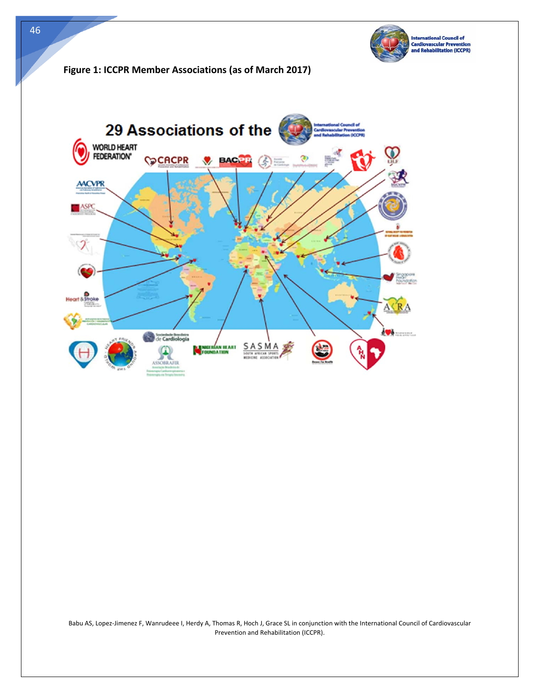

# **Figure 1: ICCPR Member Associations (as of March 2017)**



Babu AS, Lopez‐Jimenez F, Wanrudeee I, Herdy A, Thomas R, Hoch J, Grace SL in conjunction with the International Council of Cardiovascular Prevention and Rehabilitation (ICCPR).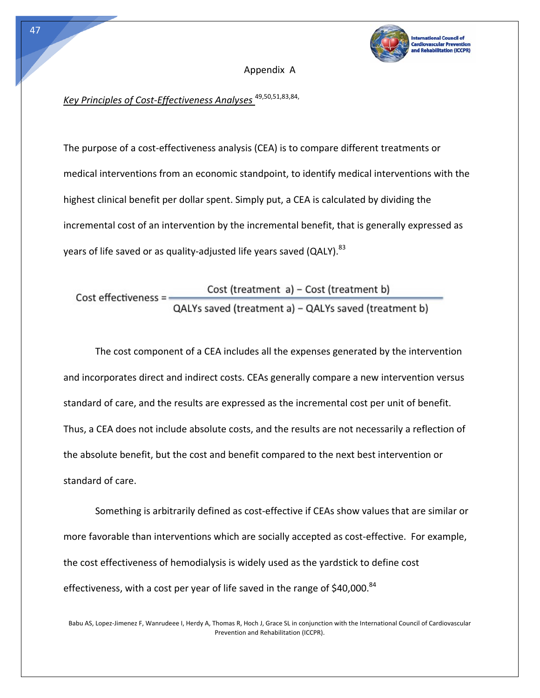

#### Appendix A

# *Key Principles of Cost‐Effectiveness Analyses* 49,50,51,83,84,

The purpose of a cost‐effectiveness analysis (CEA) is to compare different treatments or medical interventions from an economic standpoint, to identify medical interventions with the highest clinical benefit per dollar spent. Simply put, a CEA is calculated by dividing the incremental cost of an intervention by the incremental benefit, that is generally expressed as years of life saved or as quality-adjusted life years saved (QALY). <sup>83</sup>

Cost (treatment a) - Cost (treatment b)  $Cost$  effectiveness = -QALYs saved (treatment a) - QALYs saved (treatment b)

The cost component of a CEA includes all the expenses generated by the intervention and incorporates direct and indirect costs. CEAs generally compare a new intervention versus standard of care, and the results are expressed as the incremental cost per unit of benefit. Thus, a CEA does not include absolute costs, and the results are not necessarily a reflection of the absolute benefit, but the cost and benefit compared to the next best intervention or standard of care.

Something is arbitrarily defined as cost‐effective if CEAs show values that are similar or more favorable than interventions which are socially accepted as cost-effective. For example, the cost effectiveness of hemodialysis is widely used as the yardstick to define cost effectiveness, with a cost per year of life saved in the range of \$40,000.<sup>84</sup>

Babu AS, Lopez‐Jimenez F, Wanrudeee I, Herdy A, Thomas R, Hoch J, Grace SL in conjunction with the International Council of Cardiovascular Prevention and Rehabilitation (ICCPR).